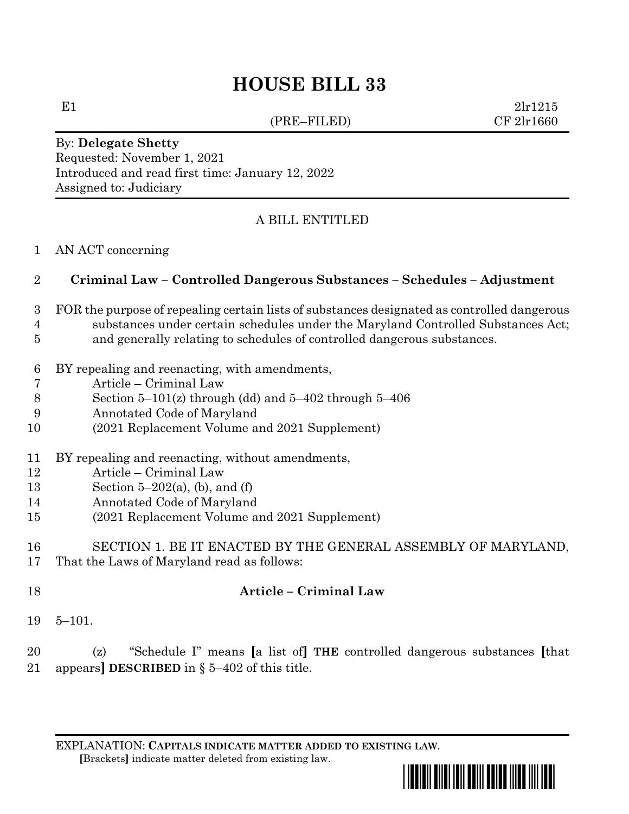(PRE–FILED) CF 2lr1660

E1  $2\ln 1215$ 

By: **Delegate Shetty** Requested: November 1, 2021 Introduced and read first time: January 12, 2022 Assigned to: Judiciary

# A BILL ENTITLED

AN ACT concerning

# **Criminal Law – Controlled Dangerous Substances – Schedules – Adjustment**

#### FOR the purpose of repealing certain lists of substances designated as controlled dangerous substances under certain schedules under the Maryland Controlled Substances Act;

- and generally relating to schedules of controlled dangerous substances.
- BY repealing and reenacting, with amendments,
- Article Criminal Law
- Section 5–101(z) through (dd) and 5–402 through 5–406
- Annotated Code of Maryland
- (2021 Replacement Volume and 2021 Supplement)
- BY repealing and reenacting, without amendments,
- Article Criminal Law
- 13 Section  $5-202(a)$ , (b), and (f)
- Annotated Code of Maryland
- (2021 Replacement Volume and 2021 Supplement)
- SECTION 1. BE IT ENACTED BY THE GENERAL ASSEMBLY OF MARYLAND, That the Laws of Maryland read as follows:
- **Article – Criminal Law**
- 5–101.

 (z) "Schedule I" means **[**a list of**] THE** controlled dangerous substances **[**that appears**] DESCRIBED** in § 5–402 of this title.

EXPLANATION: **CAPITALS INDICATE MATTER ADDED TO EXISTING LAW**.  **[**Brackets**]** indicate matter deleted from existing law.

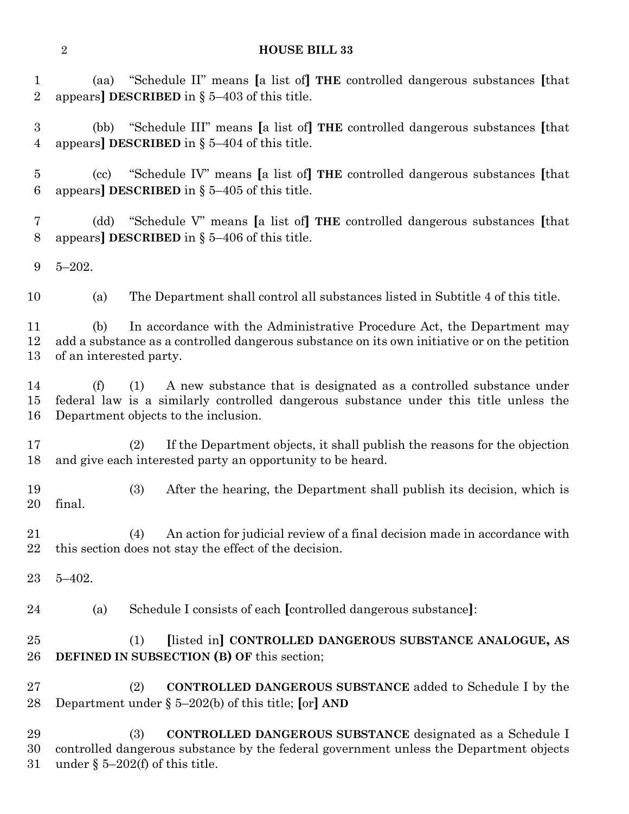(aa) "Schedule II" means **[**a list of**] THE** controlled dangerous substances **[**that appears**] DESCRIBED** in § 5–403 of this title.

 (bb) "Schedule III" means **[**a list of**] THE** controlled dangerous substances **[**that appears**] DESCRIBED** in § 5–404 of this title.

 (cc) "Schedule IV" means **[**a list of**] THE** controlled dangerous substances **[**that appears**] DESCRIBED** in § 5–405 of this title.

 (dd) "Schedule V" means **[**a list of**] THE** controlled dangerous substances **[**that appears**] DESCRIBED** in § 5–406 of this title.

5–202.

(a) The Department shall control all substances listed in Subtitle 4 of this title.

 (b) In accordance with the Administrative Procedure Act, the Department may add a substance as a controlled dangerous substance on its own initiative or on the petition of an interested party.

 (f) (1) A new substance that is designated as a controlled substance under federal law is a similarly controlled dangerous substance under this title unless the Department objects to the inclusion.

 (2) If the Department objects, it shall publish the reasons for the objection and give each interested party an opportunity to be heard.

 (3) After the hearing, the Department shall publish its decision, which is final.

 (4) An action for judicial review of a final decision made in accordance with this section does not stay the effect of the decision.

5–402.

(a) Schedule I consists of each **[**controlled dangerous substance**]**:

 (1) **[**listed in**] CONTROLLED DANGEROUS SUBSTANCE ANALOGUE, AS DEFINED IN SUBSECTION (B) OF** this section;

 (2) **CONTROLLED DANGEROUS SUBSTANCE** added to Schedule I by the Department under § 5–202(b) of this title; **[**or**] AND**

 (3) **CONTROLLED DANGEROUS SUBSTANCE** designated as a Schedule I controlled dangerous substance by the federal government unless the Department objects under § 5–202(f) of this title.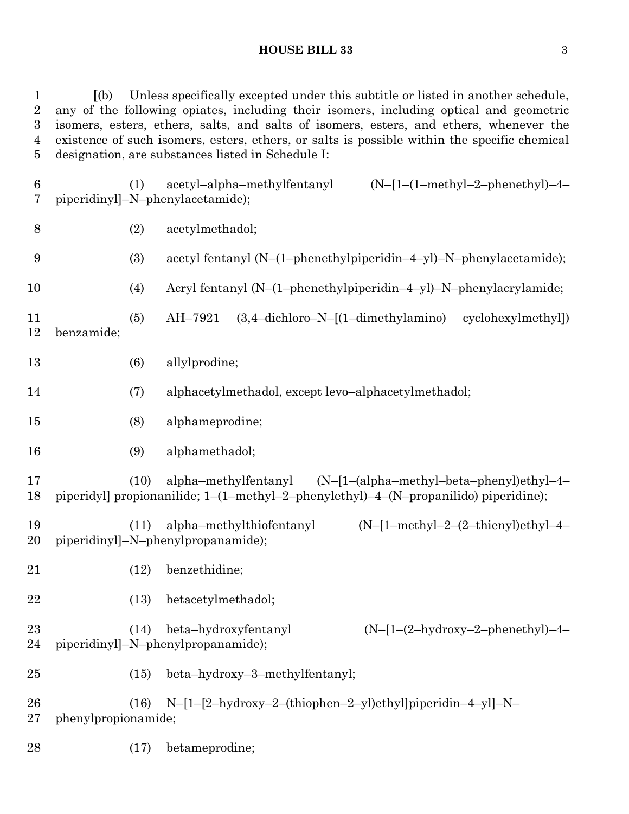**[**(b) Unless specifically excepted under this subtitle or listed in another schedule, any of the following opiates, including their isomers, including optical and geometric isomers, esters, ethers, salts, and salts of isomers, esters, and ethers, whenever the existence of such isomers, esters, ethers, or salts is possible within the specific chemical designation, are substances listed in Schedule I:

| $\boldsymbol{6}$<br>7 |                     | (1)  | acetyl-alpha-methylfentanyl<br>$(N-[1-(1-methyl-2-phenethyl)-4-$<br>piperidinyl]-N-phenylacetamide);                                                  |  |
|-----------------------|---------------------|------|-------------------------------------------------------------------------------------------------------------------------------------------------------|--|
| $8\,$                 |                     | (2)  | acetylmethadol;                                                                                                                                       |  |
| 9                     |                     | (3)  | acetyl fentanyl (N-(1-phenethylpiperidin-4-yl)-N-phenylacetamide);                                                                                    |  |
| 10                    |                     | (4)  | Acryl fentanyl (N-(1-phenethylpiperidin-4-yl)-N-phenylacrylamide;                                                                                     |  |
| 11<br>12              | benzamide;          | (5)  | $(3,4$ -dichloro-N- $[(1$ -dimethylamino)<br>cyclohexylmethyl)<br>AH-7921                                                                             |  |
| 13                    |                     | (6)  | allylprodine;                                                                                                                                         |  |
| 14                    |                     | (7)  | alphacetylmethadol, except levo-alphacetylmethadol;                                                                                                   |  |
| 15                    |                     | (8)  | alphameprodine;                                                                                                                                       |  |
| 16                    |                     | (9)  | alphamethadol;                                                                                                                                        |  |
| 17<br>18              |                     | (10) | alpha-methylfentanyl (N-[1-(alpha-methyl-beta-phenyl)ethyl-4-<br>piperidyl] propionanilide; 1-(1-methyl-2-phenylethyl)-4-(N-propanilido) piperidine); |  |
| 19<br>20              |                     | (11) | alpha-methylthiofentanyl<br>$(N-[1-methyl-2-(2-thienyl)ethyl-4-$<br>piperidinyl]-N-phenylpropanamide);                                                |  |
| 21                    |                     | (12) | benzethidine;                                                                                                                                         |  |
| 22                    |                     | (13) | betacetylmethadol;                                                                                                                                    |  |
| 23<br>24              |                     | (14) | beta-hydroxyfentanyl<br>$(N-[1-(2-hydroxy-2-phenethyl)-4-$<br>piperidinyl]-N-phenylpropanamide);                                                      |  |
| 25                    |                     | (15) | beta-hydroxy-3-methylfentanyl;                                                                                                                        |  |
| 26<br>27              | phenylpropionamide; | (16) | N-[1-[2-hydroxy-2-(thiophen-2-yl)ethyl]piperidin-4-yl]-N-                                                                                             |  |
| 28                    |                     | (17) | betameprodine;                                                                                                                                        |  |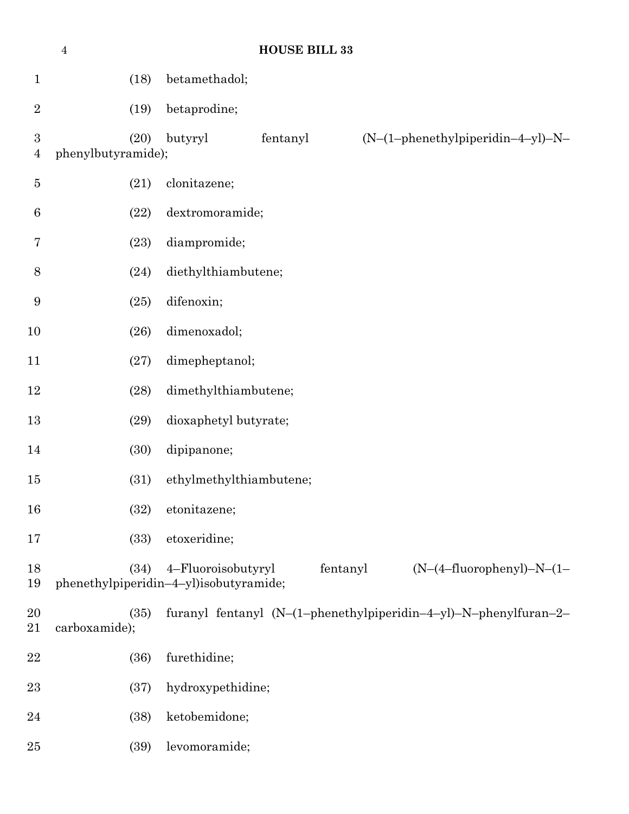|                                    | $\bf 4$                    | <b>HOUSE BILL 33</b>                                                                                    |
|------------------------------------|----------------------------|---------------------------------------------------------------------------------------------------------|
| $\mathbf{1}$                       | (18)                       | betamethadol;                                                                                           |
| $\sqrt{2}$                         | (19)                       | betaprodine;                                                                                            |
| $\boldsymbol{3}$<br>$\overline{4}$ | (20)<br>phenylbutyramide); | (N-(1-phenethylpiperidin-4-yl)-N-<br>butyryl<br>fentanyl                                                |
| $\bf 5$                            | (21)                       | clonitazene;                                                                                            |
| $\boldsymbol{6}$                   | (22)                       | dextromoramide;                                                                                         |
| 7                                  | (23)                       | diampromide;                                                                                            |
| 8                                  | (24)                       | diethylthiambutene;                                                                                     |
| 9                                  | (25)                       | difenoxin;                                                                                              |
| 10                                 | (26)                       | dimenoxadol;                                                                                            |
| 11                                 | (27)                       | dimepheptanol;                                                                                          |
| $12\,$                             | (28)                       | dimethylthiambutene;                                                                                    |
| 13                                 | (29)                       | dioxaphetyl butyrate;                                                                                   |
| 14                                 | (30)                       | dipipanone;                                                                                             |
| 15                                 | (31)                       | ethylmethylthiambutene;                                                                                 |
| 16                                 | (32)                       | etonitazene;                                                                                            |
| 17                                 | (33)                       | etoxeridine;                                                                                            |
| 18<br>19                           | (34)                       | $(N-(4-fluorophenyl)-N-(1-$<br>4-Fluoroisobutyryl<br>fentanyl<br>phenethylpiperidin-4-yl)isobutyramide; |
| 20<br>21                           | (35)<br>carboxamide);      | furanyl fentanyl (N-(1-phenethylpiperidin-4-yl)-N-phenylfuran-2-                                        |
| 22                                 | (36)                       | furethidine;                                                                                            |
| 23                                 | (37)                       | hydroxypethidine;                                                                                       |
| 24                                 | (38)                       | ketobemidone;                                                                                           |
| 25                                 | (39)                       | levomoramide;                                                                                           |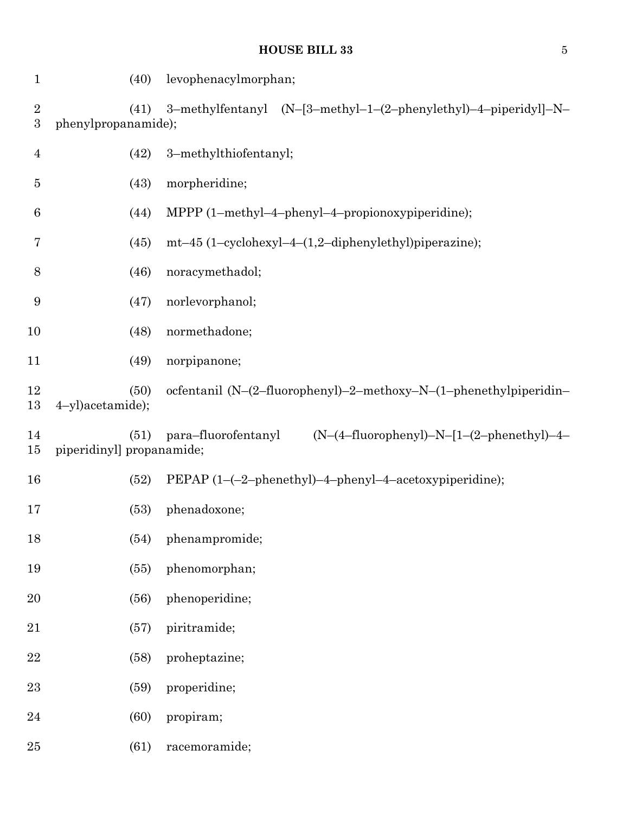| $\mathbf{1}$             | (40)                             | levophenacylmorphan;                                               |
|--------------------------|----------------------------------|--------------------------------------------------------------------|
| $\sqrt{2}$<br>$\sqrt{3}$ | (41)<br>phenylpropanamide);      | 3-methylfentanyl (N-[3-methyl-1-(2-phenylethyl)-4-piperidyl]-N-    |
| $\overline{4}$           | (42)                             | 3-methylthiofentanyl;                                              |
| $\overline{5}$           | (43)                             | morpheridine;                                                      |
| 6                        | (44)                             | MPPP (1-methyl-4-phenyl-4-propionoxypiperidine);                   |
| 7                        | (45)                             | mt-45 (1-cyclohexyl-4-(1,2-diphenylethyl)piperazine);              |
| 8                        | (46)                             | noracymethadol;                                                    |
| 9                        | (47)                             | norlevorphanol;                                                    |
| 10                       | (48)                             | normethadone;                                                      |
| 11                       | (49)                             | norpipanone;                                                       |
| 12<br>13                 | (50)<br>4-yl)acetamide);         | ocfentanil (N-(2-fluorophenyl)-2-methoxy-N-(1-phenethylpiperidin-  |
| 14<br>15                 | (51)<br>piperidinyl propanamide; | $(N-(4-fluorophenyl)-N-[1-(2-phenethyl)-4-$<br>para–fluorofentanyl |
| 16                       | (52)                             | PEPAP (1-(-2-phenethyl)-4-phenyl-4-acetoxypiperidine);             |
| 17                       | (53)                             | phenadoxone;                                                       |
| 18                       | (54)                             | phenampromide;                                                     |
| 19                       | (55)                             | phenomorphan;                                                      |
| 20                       | (56)                             | phenoperidine;                                                     |
| 21                       | (57)                             | piritramide;                                                       |
| $\bf 22$                 | (58)                             | proheptazine;                                                      |
| 23                       | (59)                             | properidine;                                                       |
| 24                       | (60)                             | propiram;                                                          |
| 25                       | (61)                             | racemoramide;                                                      |
|                          |                                  |                                                                    |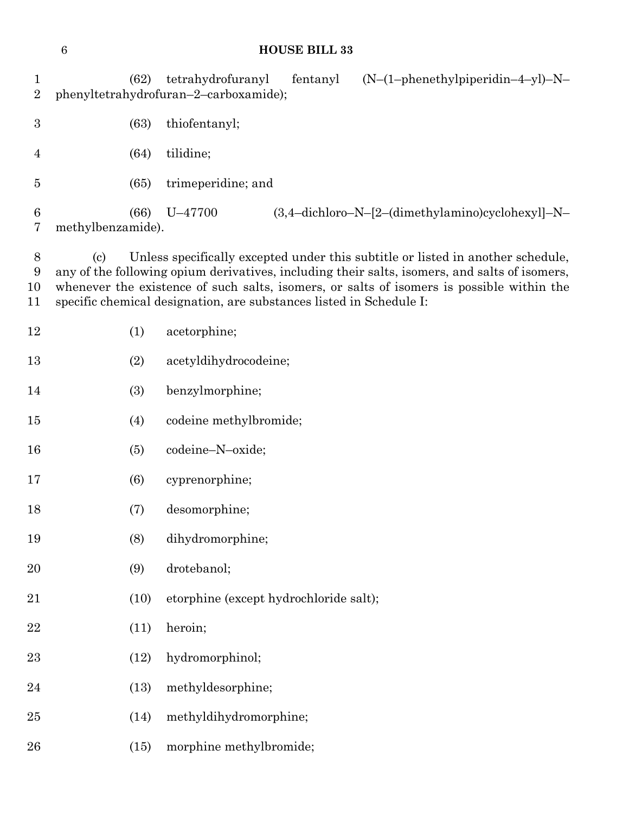# **HOUSE BILL 33** (62) tetrahydrofuranyl fentanyl (N–(1–phenethylpiperidin–4–yl)–N– phenyltetrahydrofuran–2–carboxamide); (63) thiofentanyl; (64) tilidine; (65) trimeperidine; and (66) U–47700 (3,4–dichloro–N–[2–(dimethylamino)cyclohexyl]–N– methylbenzamide). (c) Unless specifically excepted under this subtitle or listed in another schedule, any of the following opium derivatives, including their salts, isomers, and salts of isomers, whenever the existence of such salts, isomers, or salts of isomers is possible within the specific chemical designation, are substances listed in Schedule I: (1) acetorphine; (2) acetyldihydrocodeine; (3) benzylmorphine; (4) codeine methylbromide; (5) codeine–N–oxide; (6) cyprenorphine; (7) desomorphine; (8) dihydromorphine;

- (9) drotebanol; (10) etorphine (except hydrochloride salt); (11) heroin; (12) hydromorphinol; (13) methyldesorphine; (14) methyldihydromorphine;
- (15) morphine methylbromide;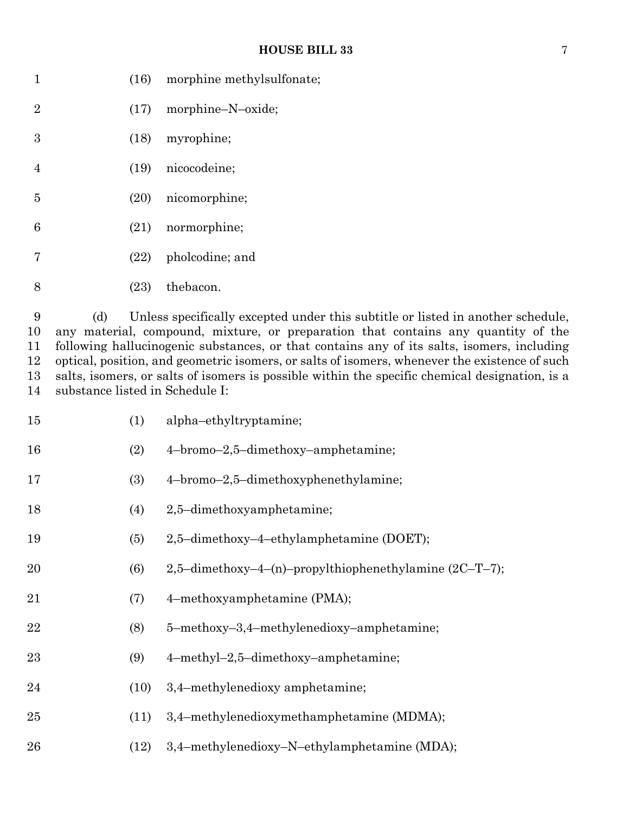| 1              |      | $(16)$ morphine methylsulfonate; |
|----------------|------|----------------------------------|
| $\overline{2}$ |      | $(17)$ morphine-N-oxide;         |
| 3              |      | $(18)$ myrophine;                |
| $\overline{4}$ |      | (19) nicocodeine;                |
| 5              |      | $(20)$ nicomorphine;             |
| 6              |      | $(21)$ normorphine;              |
| 7              |      | $(22)$ pholcodine; and           |
| 8              | (23) | thebacon.                        |

 (d) Unless specifically excepted under this subtitle or listed in another schedule, any material, compound, mixture, or preparation that contains any quantity of the following hallucinogenic substances, or that contains any of its salts, isomers, including optical, position, and geometric isomers, or salts of isomers, whenever the existence of such salts, isomers, or salts of isomers is possible within the specific chemical designation, is a substance listed in Schedule I:

| 15 | (1)  | alpha-ethyltryptamine;                                 |
|----|------|--------------------------------------------------------|
| 16 | (2)  | 4-bromo-2,5-dimethoxy-amphetamine;                     |
| 17 | (3)  | 4-bromo-2,5-dimethoxyphenethylamine;                   |
| 18 | (4)  | 2,5-dimethoxyamphetamine;                              |
| 19 | (5)  | 2,5-dimethoxy-4-ethylamphetamine (DOET);               |
| 20 | (6)  | 2,5-dimethoxy-4-(n)-propylthiophenethylamine (2C-T-7); |
| 21 | (7)  | 4-methoxyamphetamine (PMA);                            |
| 22 | (8)  | 5-methoxy-3,4-methylenedioxy-amphetamine;              |
| 23 | (9)  | 4-methyl-2,5-dimethoxy-amphetamine;                    |
| 24 | (10) | 3,4-methylenedioxy amphetamine;                        |
| 25 | (11) | 3,4-methylenedioxymethamphetamine (MDMA);              |
| 26 | (12) | 3,4-methylenedioxy-N-ethylamphetamine (MDA);           |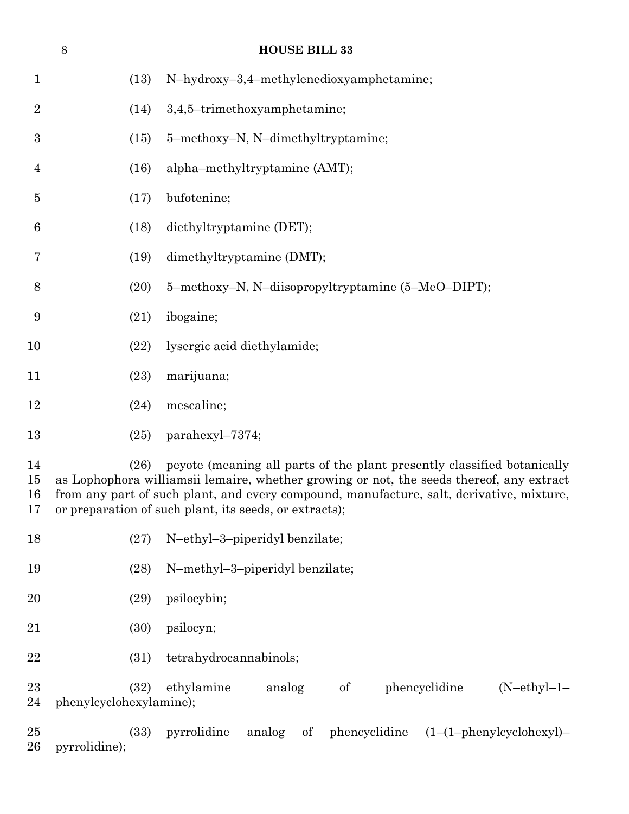|                      | $8\phantom{1}$          |      | <b>HOUSE BILL 33</b>                                                                                                                                                                                                                                                                                                      |
|----------------------|-------------------------|------|---------------------------------------------------------------------------------------------------------------------------------------------------------------------------------------------------------------------------------------------------------------------------------------------------------------------------|
| $\mathbf{1}$         |                         | (13) | N-hydroxy-3,4-methylenedioxyamphetamine;                                                                                                                                                                                                                                                                                  |
| $\overline{2}$       |                         | (14) | 3,4,5-trimethoxyamphetamine;                                                                                                                                                                                                                                                                                              |
| $\boldsymbol{3}$     |                         | (15) | 5-methoxy-N, N-dimethyltryptamine;                                                                                                                                                                                                                                                                                        |
| 4                    |                         | (16) | alpha-methyltryptamine (AMT);                                                                                                                                                                                                                                                                                             |
| $\overline{5}$       |                         | (17) | bufotenine;                                                                                                                                                                                                                                                                                                               |
| 6                    |                         | (18) | diethyltryptamine (DET);                                                                                                                                                                                                                                                                                                  |
| 7                    |                         | (19) | dimethyltryptamine (DMT);                                                                                                                                                                                                                                                                                                 |
| 8                    |                         | (20) | 5-methoxy-N, N-diisopropyltryptamine (5-MeO-DIPT);                                                                                                                                                                                                                                                                        |
| $\boldsymbol{9}$     |                         | (21) | ibogaine;                                                                                                                                                                                                                                                                                                                 |
| 10                   |                         | (22) | lysergic acid diethylamide;                                                                                                                                                                                                                                                                                               |
| 11                   |                         | (23) | marijuana;                                                                                                                                                                                                                                                                                                                |
| 12                   |                         | (24) | mescaline;                                                                                                                                                                                                                                                                                                                |
| 13                   |                         | (25) | parahexyl-7374;                                                                                                                                                                                                                                                                                                           |
| 14<br>15<br>16<br>17 |                         | (26) | peyote (meaning all parts of the plant presently classified botanically<br>as Lophophora williamsii lemaire, whether growing or not, the seeds thereof, any extract<br>from any part of such plant, and every compound, manufacture, salt, derivative, mixture,<br>or preparation of such plant, its seeds, or extracts); |
| 18                   |                         | (27) | N-ethyl-3-piperidyl benzilate;                                                                                                                                                                                                                                                                                            |
| 19                   |                         | (28) | N-methyl-3-piperidyl benzilate;                                                                                                                                                                                                                                                                                           |
| 20                   |                         | (29) | psilocybin;                                                                                                                                                                                                                                                                                                               |
| 21                   |                         | (30) | psilocyn;                                                                                                                                                                                                                                                                                                                 |
| 22                   |                         | (31) | tetrahydrocannabinols;                                                                                                                                                                                                                                                                                                    |
| 23<br>24             | phenylcyclohexylamine); | (32) | ethylamine<br>analog<br>phencyclidine<br>$(N-ethyl-1-$<br>of                                                                                                                                                                                                                                                              |
| 25<br>26             | pyrrolidine);           | (33) | pyrrolidine<br>phencyclidine $(1-(1-phenylcyclohexyl)-$<br>analog<br>of                                                                                                                                                                                                                                                   |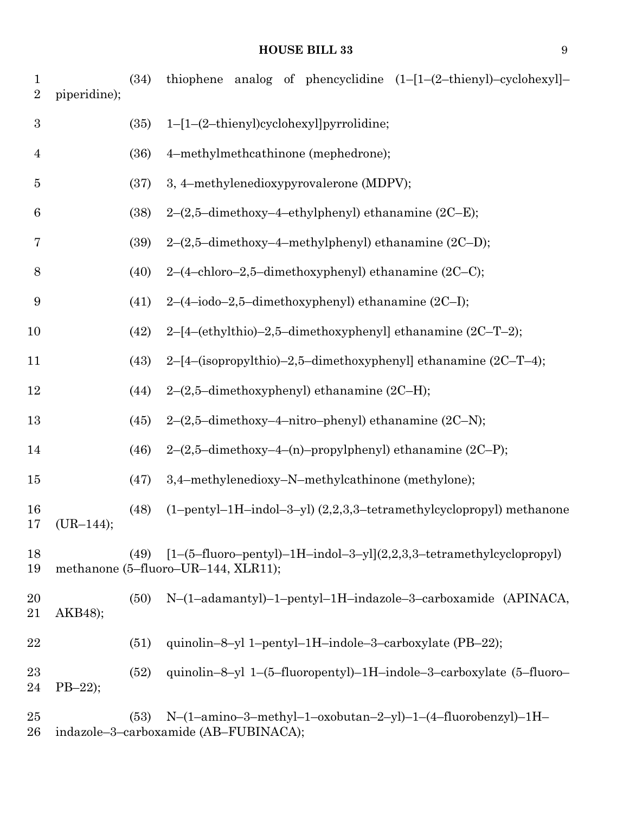| $\mathbf{1}$<br>$\sqrt{2}$ | piperidine); | (34) | thiophene analog of phencyclidine $(1-[1-(2-thienyl)-cyclohexyl]-$                                           |
|----------------------------|--------------|------|--------------------------------------------------------------------------------------------------------------|
| $\sqrt{3}$                 |              | (35) | 1-[1-(2-thienyl)cyclohexyl]pyrrolidine;                                                                      |
| $\overline{4}$             |              | (36) | 4-methylmethcathinone (mephedrone);                                                                          |
| $\bf 5$                    |              | (37) | 3, 4-methylenedioxypyrovalerone (MDPV);                                                                      |
| $\boldsymbol{6}$           |              | (38) | $2-(2,5-dimensional$ -dimethoxy-4-ethylphenyl) ethanamine (2C-E);                                            |
| 7                          |              | (39) | $2-(2,5$ -dimethoxy-4-methylphenyl) ethanamine (2C-D);                                                       |
| 8                          |              | (40) | 2-(4-chloro-2,5-dimethoxyphenyl) ethanamine (2C-C);                                                          |
| $\boldsymbol{9}$           |              | (41) | $2-(4-iodo-2,5-dimethoxyphenyl)$ ethanamine $(2C-I);$                                                        |
| 10                         |              | (42) | 2-[4-(ethylthio)-2,5-dimethoxyphenyl] ethanamine (2C-T-2);                                                   |
| 11                         |              | (43) | 2-[4-(isopropylthio)-2,5-dimethoxyphenyl] ethanamine (2C-T-4);                                               |
| 12                         |              | (44) | $2-(2,5$ -dimethoxyphenyl) ethanamine (2C-H);                                                                |
| 13                         |              | (45) | $2-(2,5-dimensional$ -dimethoxy-4-nitro-phenyl) ethanamine (2C-N);                                           |
| 14                         |              | (46) | 2-(2,5-dimethoxy-4-(n)-propylphenyl) ethanamine (2C-P);                                                      |
| 15                         |              | (47) | 3,4-methylenedioxy-N-methylcathinone (methylone);                                                            |
| 16<br>17                   | $(UR-144);$  | (48) | $(1-pentyl-1H-indol-3-yl)$ $(2,2,3,3-tetramethylcyclopropyl)$ methanone                                      |
| 18<br>19                   |              | (49) | $[1-(5-fluoro-pentyl)-1H-indol-3-yl](2,2,3,3-tetramethylcyclopropyl)$<br>methanone (5-fluoro-UR-144, XLR11); |
| 20<br>21                   | AKB48);      | (50) | N-(1-adamantyl)-1-pentyl-1H-indazole-3-carboxamide (APINACA,                                                 |
| 22                         |              | (51) | quinolin-8-yl 1-pentyl-1H-indole-3-carboxylate (PB-22);                                                      |
| $23\,$<br>24               | $PB-22$ ;    | (52) | quinolin-8-yl 1-(5-fluoropentyl)-1H-indole-3-carboxylate (5-fluoro-                                          |
| $25\,$<br>26               |              | (53) | N-(1-amino-3-methyl-1-oxobutan-2-yl)-1-(4-fluorobenzyl)-1H-<br>indazole-3-carboxamide (AB-FUBINACA);         |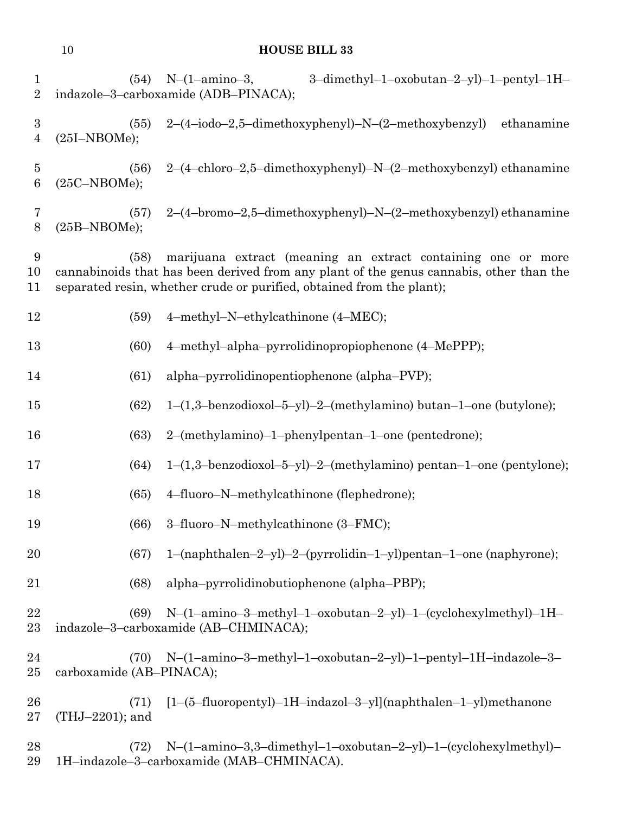| $\mathbf{1}$<br>$\overline{2}$     |                                  | 3-dimethyl-1-oxobutan-2-yl)-1-pentyl-1H-<br>$(54)$ N- $(1-annino-3,$<br>indazole-3-carboxamide (ADB-PINACA);                                                                                                                     |
|------------------------------------|----------------------------------|----------------------------------------------------------------------------------------------------------------------------------------------------------------------------------------------------------------------------------|
| $\boldsymbol{3}$<br>$\overline{4}$ | (55)<br>$(25I-NBOME);$           | 2-(4-iodo-2,5-dimethoxyphenyl)-N-(2-methoxybenzyl)<br>ethanamine                                                                                                                                                                 |
| $\overline{5}$<br>$\boldsymbol{6}$ | (56)<br>$(25C-NBOME);$           | 2-(4-chloro-2,5-dimethoxyphenyl)-N-(2-methoxybenzyl) ethanamine                                                                                                                                                                  |
| 7<br>8                             | (57)<br>$(25B-NBOME);$           | 2-(4-bromo-2,5-dimethoxyphenyl)-N-(2-methoxybenzyl) ethanamine                                                                                                                                                                   |
| 9<br>10<br>11                      | (58)                             | marijuana extract (meaning an extract containing one or more<br>cannabinoids that has been derived from any plant of the genus cannabis, other than the<br>separated resin, whether crude or purified, obtained from the plant); |
| 12                                 | (59)                             | 4-methyl-N-ethylcathinone (4-MEC);                                                                                                                                                                                               |
| 13                                 | (60)                             | 4-methyl-alpha-pyrrolidinopropiophenone (4-MePPP);                                                                                                                                                                               |
| 14                                 | (61)                             | alpha-pyrrolidinopentiophenone (alpha-PVP);                                                                                                                                                                                      |
| 15                                 | (62)                             | $1-(1,3-\text{benzodioxol}-5-\text{yl})-2-(\text{methylamino}) \text{ butan}-1-\text{one (butylone)};$                                                                                                                           |
| 16                                 | (63)                             | 2-(methylamino)-1-phenylpentan-1-one (pentedrone);                                                                                                                                                                               |
| 17                                 | (64)                             | $1-(1,3-\text{benzodioxol}-5-\text{yl})-2-(\text{methylamino})$ pentan-1-one (pentylone);                                                                                                                                        |
| 18                                 | (65)                             | 4-fluoro-N-methylcathinone (flephedrone);                                                                                                                                                                                        |
| 19                                 | (66)                             | 3-fluoro-N-methylcathinone (3-FMC);                                                                                                                                                                                              |
| 20                                 | (67)                             | 1-(naphthalen-2-yl)-2-(pyrrolidin-1-yl)pentan-1-one (naphyrone);                                                                                                                                                                 |
| 21                                 | (68)                             | alpha-pyrrolidinobutiophenone (alpha-PBP);                                                                                                                                                                                       |
| 22<br>$^{23}$                      | (69)                             | $N-(1-amino-3-methyl-1-oxobutan-2-yl)-1-(cyclohexylmethyl)-1H-$<br>indazole-3-carboxamide (AB-CHMINACA);                                                                                                                         |
| 24<br>$25\,$                       | (70)<br>carboxamide (AB-PINACA); | N-(1-amino-3-methyl-1-oxobutan-2-yl)-1-pentyl-1H-indazole-3-                                                                                                                                                                     |
| 26<br>$27\,$                       | (71)<br>(THJ-2201); and          | [1-(5-fluoropentyl)-1H-indazol-3-yl](naphthalen-1-yl)methanone                                                                                                                                                                   |
| 28<br>29                           | (72)                             | N-(1-amino-3,3-dimethyl-1-oxobutan-2-yl)-1-(cyclohexylmethyl)-<br>1H-indazole-3-carboxamide (MAB-CHMINACA).                                                                                                                      |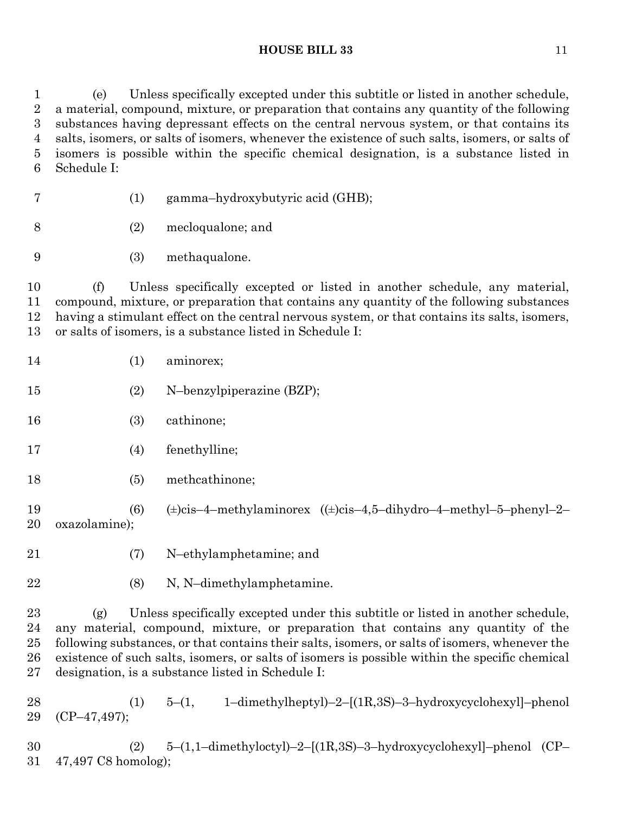(e) Unless specifically excepted under this subtitle or listed in another schedule, a material, compound, mixture, or preparation that contains any quantity of the following substances having depressant effects on the central nervous system, or that contains its salts, isomers, or salts of isomers, whenever the existence of such salts, isomers, or salts of isomers is possible within the specific chemical designation, is a substance listed in Schedule I:

- (1) gamma–hydroxybutyric acid (GHB);
- (2) mecloqualone; and
- (3) methaqualone.

 (f) Unless specifically excepted or listed in another schedule, any material, compound, mixture, or preparation that contains any quantity of the following substances having a stimulant effect on the central nervous system, or that contains its salts, isomers, or salts of isomers, is a substance listed in Schedule I:

- 14 (1) aminorex;
- (2) N–benzylpiperazine (BZP);
- (3) cathinone;
- (4) fenethylline;
- (5) methcathinone;
- (6) (±)cis–4–methylaminorex ((±)cis–4,5–dihydro–4–methyl–5–phenyl–2– oxazolamine);
- 
- (7) N–ethylamphetamine; and
- (8) N, N–dimethylamphetamine.

 (g) Unless specifically excepted under this subtitle or listed in another schedule, any material, compound, mixture, or preparation that contains any quantity of the following substances, or that contains their salts, isomers, or salts of isomers, whenever the existence of such salts, isomers, or salts of isomers is possible within the specific chemical designation, is a substance listed in Schedule I:

 (1) 5–(1, 1–dimethylheptyl)–2–[(1R,3S)–3–hydroxycyclohexyl]–phenol (CP–47,497);

 (2) 5–(1,1–dimethyloctyl)–2–[(1R,3S)–3–hydroxycyclohexyl]–phenol (CP– 47,497 C8 homolog);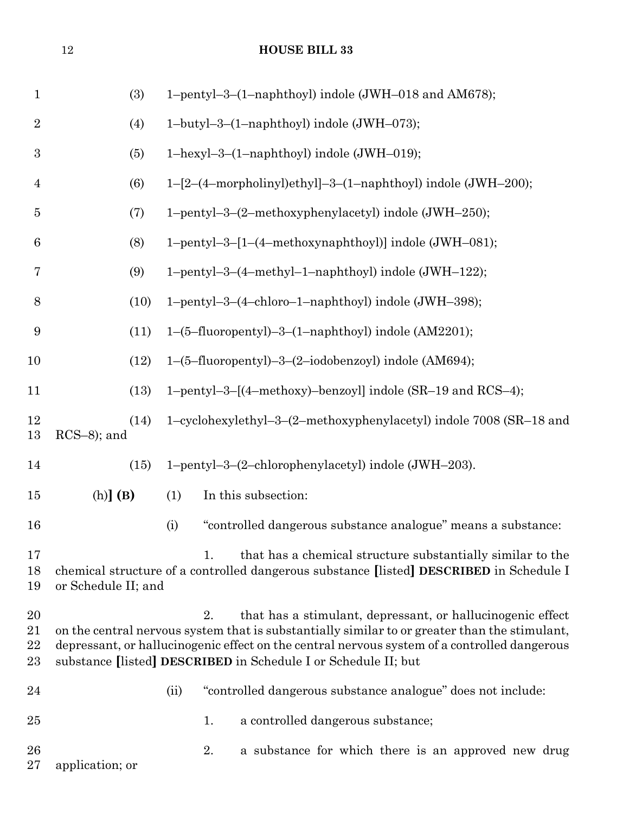| $\mathbf{1}$         | (3)                   |      | 1-pentyl-3-(1-naphthoyl) indole (JWH-018 and AM678);                                                                                                                                                                                                                                                                                |
|----------------------|-----------------------|------|-------------------------------------------------------------------------------------------------------------------------------------------------------------------------------------------------------------------------------------------------------------------------------------------------------------------------------------|
| $\sqrt{2}$           | (4)                   |      | 1-butyl-3-(1-naphthoyl) indole (JWH-073);                                                                                                                                                                                                                                                                                           |
| $\boldsymbol{3}$     | (5)                   |      | 1-hexyl-3-(1-naphthoyl) indole (JWH-019);                                                                                                                                                                                                                                                                                           |
| $\overline{4}$       | (6)                   |      | 1-[2-(4-morpholinyl)ethyl]-3-(1-naphthoyl) indole (JWH-200);                                                                                                                                                                                                                                                                        |
| $\bf 5$              | (7)                   |      | 1-pentyl-3-(2-methoxyphenylacetyl) indole (JWH-250);                                                                                                                                                                                                                                                                                |
| $\boldsymbol{6}$     | (8)                   |      | 1-pentyl-3-[1-(4-methoxynaphthoyl)] indole (JWH-081);                                                                                                                                                                                                                                                                               |
| 7                    | (9)                   |      | 1-pentyl-3-(4-methyl-1-naphthoyl) indole (JWH-122);                                                                                                                                                                                                                                                                                 |
| $8\,$                | (10)                  |      | 1-pentyl-3-(4-chloro-1-naphthoyl) indole (JWH-398);                                                                                                                                                                                                                                                                                 |
| 9                    | (11)                  |      | 1-(5-fluoropentyl)-3-(1-naphthoyl) indole (AM2201);                                                                                                                                                                                                                                                                                 |
| 10                   | (12)                  |      | 1-(5-fluoropentyl)-3-(2-iodobenzoyl) indole (AM694);                                                                                                                                                                                                                                                                                |
| 11                   | (13)                  |      | 1-pentyl-3-[(4-methoxy)-benzoyl] indole (SR-19 and RCS-4);                                                                                                                                                                                                                                                                          |
| 12<br>13             | (14)<br>$RCS-8$ ; and |      | 1-cyclohexylethyl-3-(2-methoxyphenylacetyl) indole 7008 (SR-18 and                                                                                                                                                                                                                                                                  |
| 14                   | (15)                  |      | 1-pentyl-3-(2-chlorophenylacetyl) indole (JWH-203).                                                                                                                                                                                                                                                                                 |
| $15\,$               | $(h)$ ] $(B)$         | (1)  | In this subsection:                                                                                                                                                                                                                                                                                                                 |
| 16                   |                       | (i)  | "controlled dangerous substance analogue" means a substance:                                                                                                                                                                                                                                                                        |
| 17<br>18<br>19       | or Schedule II; and   |      | that has a chemical structure substantially similar to the<br>1.<br>chemical structure of a controlled dangerous substance [listed] DESCRIBED in Schedule I                                                                                                                                                                         |
| 20<br>21<br>22<br>23 |                       |      | that has a stimulant, depressant, or hallucinogenic effect<br>2.<br>on the central nervous system that is substantially similar to or greater than the stimulant,<br>depressant, or hallucinogenic effect on the central nervous system of a controlled dangerous<br>substance [listed] DESCRIBED in Schedule I or Schedule II; but |
| 24                   |                       | (ii) | "controlled dangerous substance analogue" does not include:                                                                                                                                                                                                                                                                         |
| 25                   |                       |      | a controlled dangerous substance;<br>1.                                                                                                                                                                                                                                                                                             |
| 26<br>$27\,$         | application; or       |      | 2.<br>a substance for which there is an approved new drug                                                                                                                                                                                                                                                                           |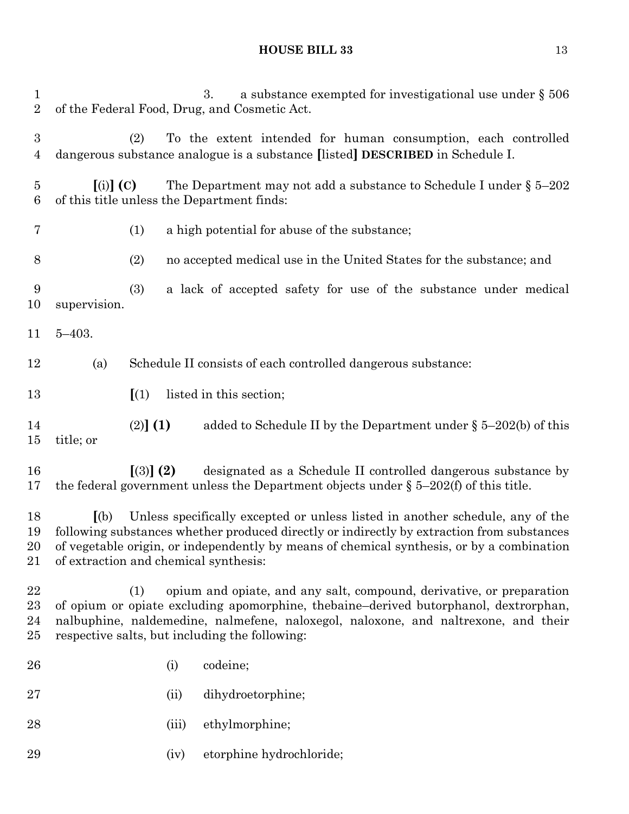|            |                                                 |                           | a substance exempted for investigational use under $\S 506$<br>3.                                                                                                                                                                                                        |
|------------|-------------------------------------------------|---------------------------|--------------------------------------------------------------------------------------------------------------------------------------------------------------------------------------------------------------------------------------------------------------------------|
|            | (2)                                             |                           | To the extent intended for human consumption, each controlled<br>dangerous substance analogue is a substance [listed] DESCRIBED in Schedule I.                                                                                                                           |
|            |                                                 |                           | The Department may not add a substance to Schedule I under $\S 5-202$                                                                                                                                                                                                    |
|            | (1)                                             |                           | a high potential for abuse of the substance;                                                                                                                                                                                                                             |
|            | (2)                                             |                           | no accepted medical use in the United States for the substance; and                                                                                                                                                                                                      |
|            | (3)                                             |                           | a lack of accepted safety for use of the substance under medical                                                                                                                                                                                                         |
| $5 - 403.$ |                                                 |                           |                                                                                                                                                                                                                                                                          |
| (a)        |                                                 |                           | Schedule II consists of each controlled dangerous substance:                                                                                                                                                                                                             |
|            | $\left[ \begin{array}{c} 1 \end{array} \right]$ |                           | listed in this section;                                                                                                                                                                                                                                                  |
| title; or  |                                                 |                           | added to Schedule II by the Department under $\S$ 5-202(b) of this                                                                                                                                                                                                       |
|            |                                                 |                           | designated as a Schedule II controlled dangerous substance by<br>the federal government unless the Department objects under $\S$ 5-202(f) of this title.                                                                                                                 |
| (a)        |                                                 |                           | Unless specifically excepted or unless listed in another schedule, any of the<br>following substances whether produced directly or indirectly by extraction from substances<br>of vegetable origin, or independently by means of chemical synthesis, or by a combination |
|            | (1)                                             |                           | opium and opiate, and any salt, compound, derivative, or preparation<br>of opium or opiate excluding apomorphine, thebaine-derived butorphanol, dextrorphan,<br>nalbuphine, naldemedine, nalmefene, naloxegol, naloxone, and naltrexone, and their                       |
|            |                                                 |                           | codeine;                                                                                                                                                                                                                                                                 |
|            |                                                 |                           | dihydroetorphine;                                                                                                                                                                                                                                                        |
|            |                                                 |                           | ethylmorphine;                                                                                                                                                                                                                                                           |
|            |                                                 |                           | etorphine hydrochloride;                                                                                                                                                                                                                                                 |
|            |                                                 | $(i)$ (C)<br>supervision. | of the Federal Food, Drug, and Cosmetic Act.<br>of this title unless the Department finds:<br>(2)] (1)<br>$(3)$ (2)<br>of extraction and chemical synthesis:<br>respective salts, but including the following:<br>(i)<br>(ii)<br>(iii)<br>(iv)                           |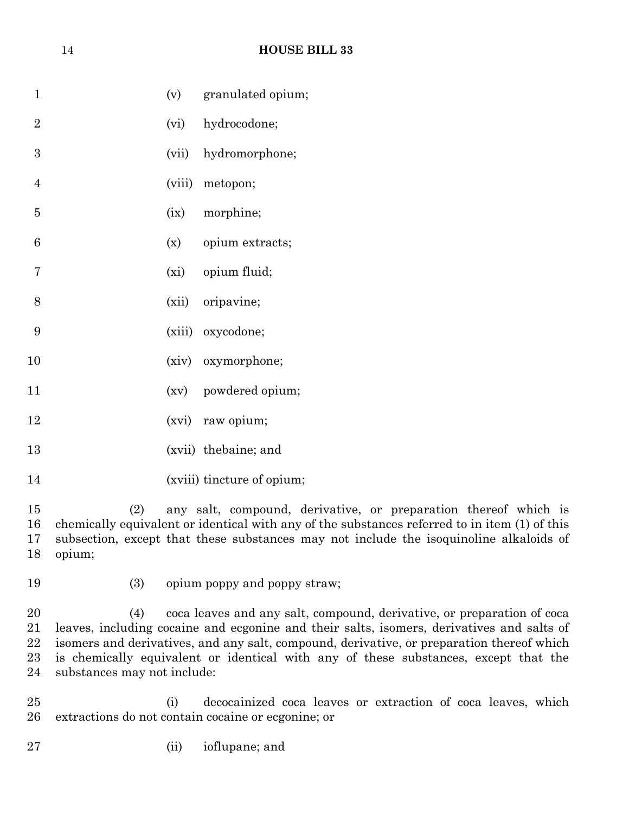| $\mathbf{1}$   |        | (v) granulated opium; |
|----------------|--------|-----------------------|
| $\overline{2}$ | (vi)   | hydrocodone;          |
| 3              | (vii)  | hydromorphone;        |
| $\overline{4}$ | (viii) | metopon;              |
| 5              | (ix)   | morphine;             |
| 6              | (x)    | opium extracts;       |
| 7              |        | (xi) opium fluid;     |
| 8              |        | (xii) oripavine;      |
| 9              |        | (xiii) oxycodone;     |
| 10             |        | (xiv) oxymorphone;    |
| 11             |        | (xv) powdered opium;  |
| 12             |        | (xvi) raw opium;      |
| 13             |        | (xvii) thebaine; and  |

14 (xviii) tincture of opium;

 (2) any salt, compound, derivative, or preparation thereof which is chemically equivalent or identical with any of the substances referred to in item (1) of this subsection, except that these substances may not include the isoquinoline alkaloids of opium;

- 
- (3) opium poppy and poppy straw;

 (4) coca leaves and any salt, compound, derivative, or preparation of coca leaves, including cocaine and ecgonine and their salts, isomers, derivatives and salts of isomers and derivatives, and any salt, compound, derivative, or preparation thereof which is chemically equivalent or identical with any of these substances, except that the substances may not include:

 (i) decocainized coca leaves or extraction of coca leaves, which extractions do not contain cocaine or ecgonine; or

(ii) ioflupane; and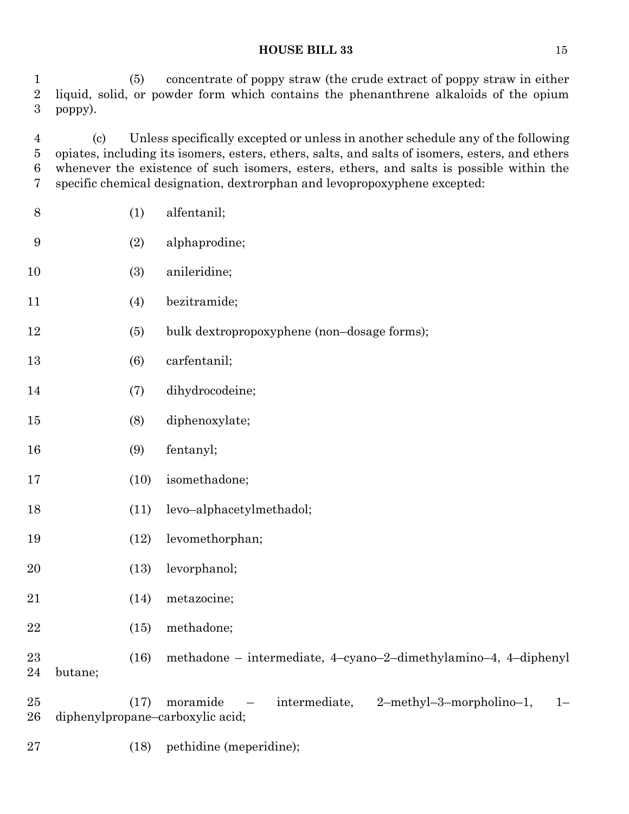(5) concentrate of poppy straw (the crude extract of poppy straw in either liquid, solid, or powder form which contains the phenanthrene alkaloids of the opium poppy).

 (c) Unless specifically excepted or unless in another schedule any of the following opiates, including its isomers, esters, ethers, salts, and salts of isomers, esters, and ethers whenever the existence of such isomers, esters, ethers, and salts is possible within the specific chemical designation, dextrorphan and levopropoxyphene excepted:

| $8\,$            |         | (1)  | alfentanil;                                                                                                                    |
|------------------|---------|------|--------------------------------------------------------------------------------------------------------------------------------|
| $\boldsymbol{9}$ |         | (2)  | alphaprodine;                                                                                                                  |
| $10\,$           |         | (3)  | anileridine;                                                                                                                   |
| 11               |         | (4)  | bezitramide;                                                                                                                   |
| 12               |         | (5)  | bulk dextropropoxyphene (non-dosage forms);                                                                                    |
| $13\,$           |         | (6)  | carfentanil;                                                                                                                   |
| 14               |         | (7)  | dihydrocodeine;                                                                                                                |
| $15\,$           |         | (8)  | diphenoxylate;                                                                                                                 |
| 16               |         | (9)  | fentanyl;                                                                                                                      |
| 17               |         | (10) | isomethadone;                                                                                                                  |
| 18               |         | (11) | levo-alphacetylmethadol;                                                                                                       |
| 19               |         | (12) | levomethorphan;                                                                                                                |
| 20               |         | (13) | levorphanol;                                                                                                                   |
| 21               |         | (14) | metazocine;                                                                                                                    |
| 22               |         | (15) | methadone;                                                                                                                     |
| 23<br>24         | butane; | (16) | methadone – intermediate, 4-cyano-2-dimethylamino-4, 4-diphenyl                                                                |
| 25<br>26         |         | (17) | moramide<br>intermediate,<br>2-methyl-3-morpholino-1,<br>$1 -$<br>$\overline{\phantom{m}}$<br>diphenylpropane-carboxylic acid; |
|                  |         |      |                                                                                                                                |

(18) pethidine (meperidine);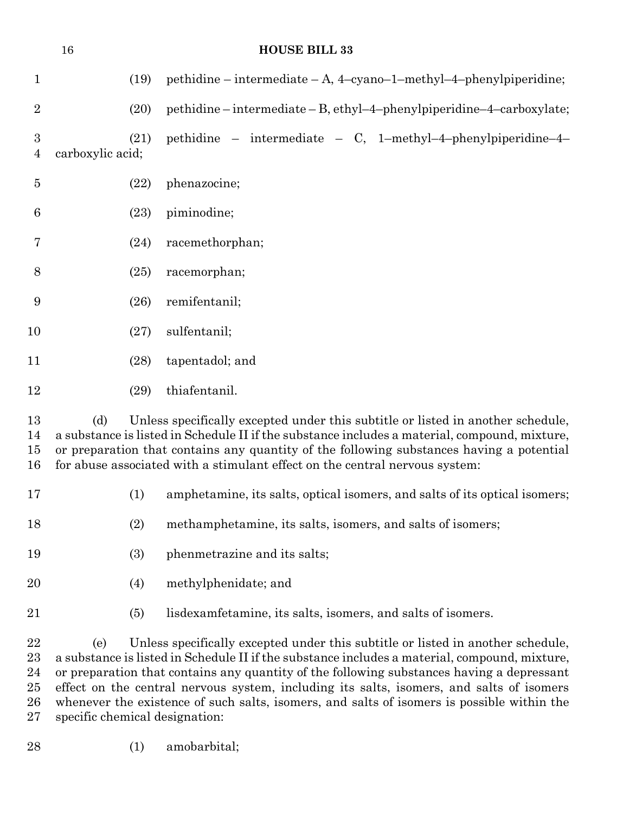|                                    | 16                                                                                                                                                                                                                                                                                   |      | <b>HOUSE BILL 33</b>                                                                                                                                                                                                                                                                                                                                        |  |  |  |
|------------------------------------|--------------------------------------------------------------------------------------------------------------------------------------------------------------------------------------------------------------------------------------------------------------------------------------|------|-------------------------------------------------------------------------------------------------------------------------------------------------------------------------------------------------------------------------------------------------------------------------------------------------------------------------------------------------------------|--|--|--|
| $\mathbf{1}$                       |                                                                                                                                                                                                                                                                                      | (19) | pethidine – intermediate – A, 4-cyano-1-methyl-4-phenylpiperidine;                                                                                                                                                                                                                                                                                          |  |  |  |
| $\overline{2}$                     |                                                                                                                                                                                                                                                                                      | (20) | pethidine - intermediate - B, ethyl-4-phenylpiperidine-4-carboxylate;                                                                                                                                                                                                                                                                                       |  |  |  |
| $\boldsymbol{3}$<br>$\overline{4}$ | carboxylic acid;                                                                                                                                                                                                                                                                     | (21) | pethidine – intermediate – C, 1-methyl-4-phenylpiperidine-4-                                                                                                                                                                                                                                                                                                |  |  |  |
| $\overline{5}$                     |                                                                                                                                                                                                                                                                                      | (22) | phenazocine;                                                                                                                                                                                                                                                                                                                                                |  |  |  |
| 6                                  |                                                                                                                                                                                                                                                                                      | (23) | piminodine;                                                                                                                                                                                                                                                                                                                                                 |  |  |  |
| 7                                  |                                                                                                                                                                                                                                                                                      | (24) | racemethorphan;                                                                                                                                                                                                                                                                                                                                             |  |  |  |
| 8                                  |                                                                                                                                                                                                                                                                                      | (25) | racemorphan;                                                                                                                                                                                                                                                                                                                                                |  |  |  |
| 9                                  |                                                                                                                                                                                                                                                                                      | (26) | remifentanil;                                                                                                                                                                                                                                                                                                                                               |  |  |  |
| 10                                 |                                                                                                                                                                                                                                                                                      | (27) | sulfentanil;                                                                                                                                                                                                                                                                                                                                                |  |  |  |
| 11                                 |                                                                                                                                                                                                                                                                                      | (28) | tapentadol; and                                                                                                                                                                                                                                                                                                                                             |  |  |  |
| 12                                 |                                                                                                                                                                                                                                                                                      | (29) | thiafentanil.                                                                                                                                                                                                                                                                                                                                               |  |  |  |
| 13<br>14<br>15<br>16               | (d)                                                                                                                                                                                                                                                                                  |      | Unless specifically excepted under this subtitle or listed in another schedule,<br>a substance is listed in Schedule II if the substance includes a material, compound, mixture,<br>or preparation that contains any quantity of the following substances having a potential<br>for abuse associated with a stimulant effect on the central nervous system: |  |  |  |
| 17                                 |                                                                                                                                                                                                                                                                                      | (1)  | amphetamine, its salts, optical isomers, and salts of its optical isomers;                                                                                                                                                                                                                                                                                  |  |  |  |
| 18                                 |                                                                                                                                                                                                                                                                                      | (2)  | methamphetamine, its salts, isomers, and salts of isomers;                                                                                                                                                                                                                                                                                                  |  |  |  |
| 19                                 |                                                                                                                                                                                                                                                                                      | (3)  | phenmetrazine and its salts;                                                                                                                                                                                                                                                                                                                                |  |  |  |
| 20                                 |                                                                                                                                                                                                                                                                                      | (4)  | methylphenidate; and                                                                                                                                                                                                                                                                                                                                        |  |  |  |
| 21                                 |                                                                                                                                                                                                                                                                                      | (5)  | lisdexamfetamine, its salts, isomers, and salts of isomers.                                                                                                                                                                                                                                                                                                 |  |  |  |
| 22<br>23<br>24                     | Unless specifically excepted under this subtitle or listed in another schedule,<br>(e)<br>a substance is listed in Schedule II if the substance includes a material, compound, mixture,<br>or preparation that contains any quantity of the following substances having a depressant |      |                                                                                                                                                                                                                                                                                                                                                             |  |  |  |

 or preparation that contains any quantity of the following substances having a depressant effect on the central nervous system, including its salts, isomers, and salts of isomers whenever the existence of such salts, isomers, and salts of isomers is possible within the specific chemical designation:

(1) amobarbital;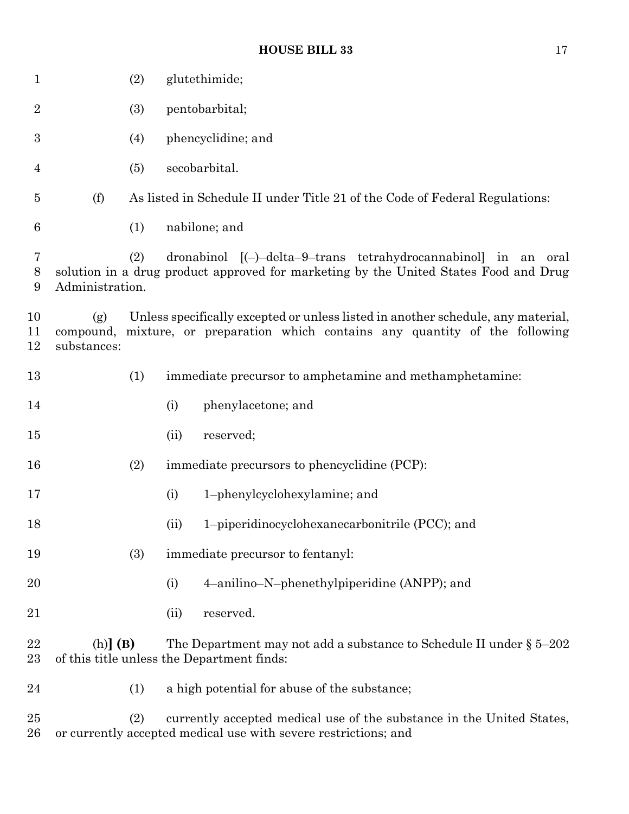| $\mathbf{1}$     |                                 | (2) | glutethimide;                                                                                                                                            |  |  |  |  |  |
|------------------|---------------------------------|-----|----------------------------------------------------------------------------------------------------------------------------------------------------------|--|--|--|--|--|
| $\boldsymbol{2}$ |                                 | (3) | pentobarbital;                                                                                                                                           |  |  |  |  |  |
| $\boldsymbol{3}$ |                                 | (4) | phencyclidine; and                                                                                                                                       |  |  |  |  |  |
| 4                |                                 | (5) | secobarbital.                                                                                                                                            |  |  |  |  |  |
| $\overline{5}$   | (f)                             |     | As listed in Schedule II under Title 21 of the Code of Federal Regulations:                                                                              |  |  |  |  |  |
| 6                |                                 | (1) | nabilone; and                                                                                                                                            |  |  |  |  |  |
| 7<br>8<br>9      | Administration.                 | (2) | dronabinol [(-)-delta-9-trans tetrahydrocannabinol] in an oral<br>solution in a drug product approved for marketing by the United States Food and Drug   |  |  |  |  |  |
| 10<br>11<br>12   | (g)<br>compound,<br>substances: |     | Unless specifically excepted or unless listed in another schedule, any material,<br>mixture, or preparation which contains any quantity of the following |  |  |  |  |  |
| 13               |                                 | (1) | immediate precursor to amphetamine and methamphetamine:                                                                                                  |  |  |  |  |  |
| 14               |                                 |     | phenylacetone; and<br>(i)                                                                                                                                |  |  |  |  |  |
| 15               |                                 |     | (ii)<br>reserved;                                                                                                                                        |  |  |  |  |  |
| 16               |                                 | (2) | immediate precursors to phencyclidine (PCP):                                                                                                             |  |  |  |  |  |
| 17               |                                 |     | (i)<br>1-phenylcyclohexylamine; and                                                                                                                      |  |  |  |  |  |
| 18               |                                 |     | (ii)<br>1-piperidinocyclohexanecarbonitrile (PCC); and                                                                                                   |  |  |  |  |  |
| 19               |                                 | (3) | immediate precursor to fentanyl:                                                                                                                         |  |  |  |  |  |
| 20               |                                 |     | 4-anilino-N-phenethylpiperidine (ANPP); and<br>(i)                                                                                                       |  |  |  |  |  |
| 21               |                                 |     | reserved.<br>(ii)                                                                                                                                        |  |  |  |  |  |
| 22<br>23         | $(h)$ ] $(B)$                   |     | The Department may not add a substance to Schedule II under $\S 5-202$<br>of this title unless the Department finds:                                     |  |  |  |  |  |
| 24               |                                 | (1) | a high potential for abuse of the substance;                                                                                                             |  |  |  |  |  |
| 25<br>26         |                                 | (2) | currently accepted medical use of the substance in the United States,<br>or currently accepted medical use with severe restrictions; and                 |  |  |  |  |  |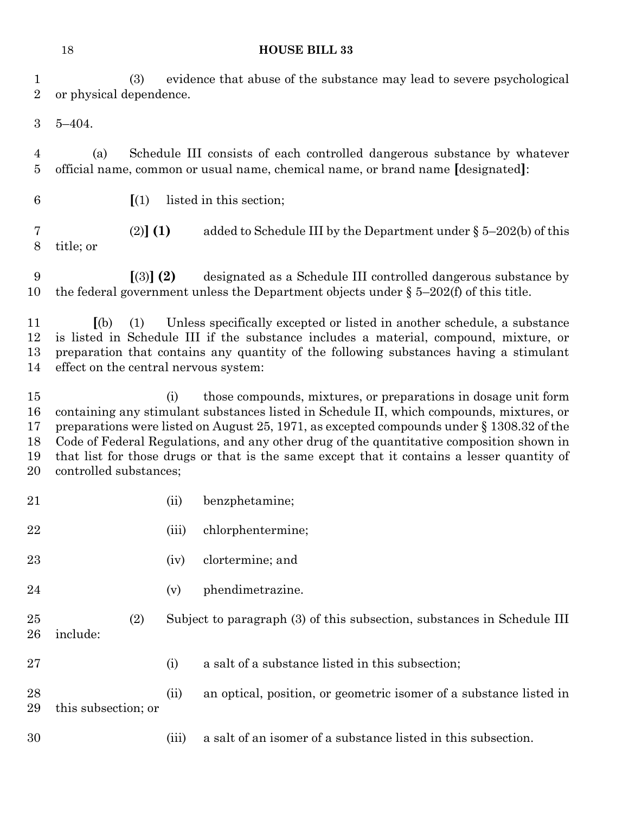|                                      | 18                                                                                                      |           | <b>HOUSE BILL 33</b>                                                                                                                                                                                                                                                                                                                                                                                                                                 |  |  |  |
|--------------------------------------|---------------------------------------------------------------------------------------------------------|-----------|------------------------------------------------------------------------------------------------------------------------------------------------------------------------------------------------------------------------------------------------------------------------------------------------------------------------------------------------------------------------------------------------------------------------------------------------------|--|--|--|
| $\mathbf{1}$<br>$\overline{2}$       | evidence that abuse of the substance may lead to severe psychological<br>(3)<br>or physical dependence. |           |                                                                                                                                                                                                                                                                                                                                                                                                                                                      |  |  |  |
| 3                                    | $5 - 404.$                                                                                              |           |                                                                                                                                                                                                                                                                                                                                                                                                                                                      |  |  |  |
| 4<br>$\overline{5}$                  | (a)                                                                                                     |           | Schedule III consists of each controlled dangerous substance by whatever<br>official name, common or usual name, chemical name, or brand name [designated]:                                                                                                                                                                                                                                                                                          |  |  |  |
| 6                                    | $\left[ \begin{array}{c} 1 \end{array} \right]$                                                         |           | listed in this section;                                                                                                                                                                                                                                                                                                                                                                                                                              |  |  |  |
| 7<br>8                               | (2)] (1)<br>title; or                                                                                   |           | added to Schedule III by the Department under $\S$ 5-202(b) of this                                                                                                                                                                                                                                                                                                                                                                                  |  |  |  |
| 9<br>10                              |                                                                                                         | $(3)$ (2) | designated as a Schedule III controlled dangerous substance by<br>the federal government unless the Department objects under $\S$ 5-202(f) of this title.                                                                                                                                                                                                                                                                                            |  |  |  |
| 11<br>12<br>13<br>14                 | (a)<br>(1)<br>effect on the central nervous system:                                                     |           | Unless specifically excepted or listed in another schedule, a substance<br>is listed in Schedule III if the substance includes a material, compound, mixture, or<br>preparation that contains any quantity of the following substances having a stimulant                                                                                                                                                                                            |  |  |  |
| $15\,$<br>16<br>17<br>18<br>19<br>20 | controlled substances;                                                                                  | (i)       | those compounds, mixtures, or preparations in dosage unit form<br>containing any stimulant substances listed in Schedule II, which compounds, mixtures, or<br>preparations were listed on August 25, 1971, as excepted compounds under $\S 1308.32$ of the<br>Code of Federal Regulations, and any other drug of the quantitative composition shown in<br>that list for those drugs or that is the same except that it contains a lesser quantity of |  |  |  |
| 21                                   |                                                                                                         | (ii)      | benzphetamine;                                                                                                                                                                                                                                                                                                                                                                                                                                       |  |  |  |
| 22                                   |                                                                                                         | (iii)     | chlorphentermine;                                                                                                                                                                                                                                                                                                                                                                                                                                    |  |  |  |
| 23                                   |                                                                                                         | (iv)      | clortermine; and                                                                                                                                                                                                                                                                                                                                                                                                                                     |  |  |  |
| 24                                   |                                                                                                         | (v)       | phendimetrazine.                                                                                                                                                                                                                                                                                                                                                                                                                                     |  |  |  |
| 25<br>26                             | (2)<br>include:                                                                                         |           | Subject to paragraph (3) of this subsection, substances in Schedule III                                                                                                                                                                                                                                                                                                                                                                              |  |  |  |
| 27                                   |                                                                                                         | (i)       | a salt of a substance listed in this subsection;                                                                                                                                                                                                                                                                                                                                                                                                     |  |  |  |
| 28<br>29                             | this subsection; or                                                                                     | (ii)      | an optical, position, or geometric isomer of a substance listed in                                                                                                                                                                                                                                                                                                                                                                                   |  |  |  |
| 30                                   |                                                                                                         | (iii)     | a salt of an isomer of a substance listed in this subsection.                                                                                                                                                                                                                                                                                                                                                                                        |  |  |  |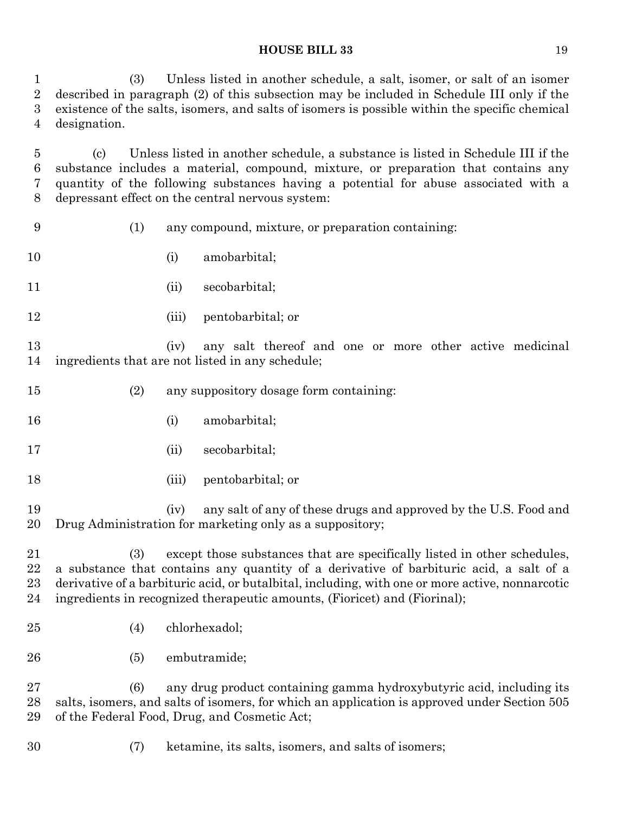(3) Unless listed in another schedule, a salt, isomer, or salt of an isomer described in paragraph (2) of this subsection may be included in Schedule III only if the existence of the salts, isomers, and salts of isomers is possible within the specific chemical designation.

 (c) Unless listed in another schedule, a substance is listed in Schedule III if the substance includes a material, compound, mixture, or preparation that contains any quantity of the following substances having a potential for abuse associated with a depressant effect on the central nervous system:

- (1) any compound, mixture, or preparation containing:
- 10 (i) amobarbital;
- 11 (ii) secobarbital;
- (iii) pentobarbital; or

 (iv) any salt thereof and one or more other active medicinal ingredients that are not listed in any schedule;

- (2) any suppository dosage form containing:
- 16 (i) amobarbital;
- 17 (ii) secobarbital;
- (iii) pentobarbital; or

 (iv) any salt of any of these drugs and approved by the U.S. Food and Drug Administration for marketing only as a suppository;

 (3) except those substances that are specifically listed in other schedules, a substance that contains any quantity of a derivative of barbituric acid, a salt of a derivative of a barbituric acid, or butalbital, including, with one or more active, nonnarcotic ingredients in recognized therapeutic amounts, (Fioricet) and (Fiorinal);

- (4) chlorhexadol;
- (5) embutramide;

 (6) any drug product containing gamma hydroxybutyric acid, including its salts, isomers, and salts of isomers, for which an application is approved under Section 505 of the Federal Food, Drug, and Cosmetic Act;

(7) ketamine, its salts, isomers, and salts of isomers;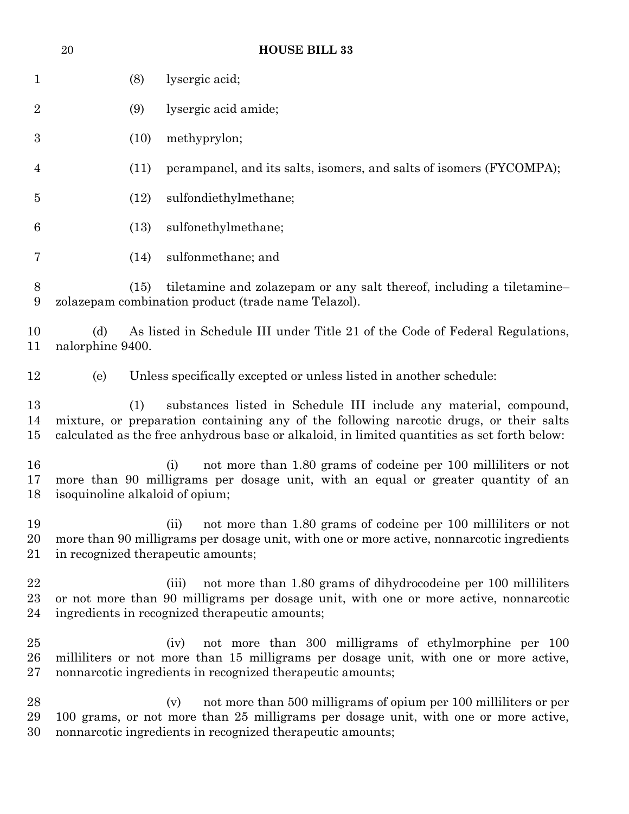| $20\,$ |      | <b>HOUSE BILL 33</b>                                                                                                                                                                                                                                        |
|--------|------|-------------------------------------------------------------------------------------------------------------------------------------------------------------------------------------------------------------------------------------------------------------|
|        | (8)  | lysergic acid;                                                                                                                                                                                                                                              |
|        | (9)  | lysergic acid amide;                                                                                                                                                                                                                                        |
|        | (10) | methyprylon;                                                                                                                                                                                                                                                |
|        | (11) | perampanel, and its salts, isomers, and salts of isomers (FYCOMPA);                                                                                                                                                                                         |
|        | (12) | sulfondiethylmethane;                                                                                                                                                                                                                                       |
|        | (13) | sulfonethylmethane;                                                                                                                                                                                                                                         |
|        | (14) | sulfonmethane; and                                                                                                                                                                                                                                          |
|        | (15) | tiletamine and zolazepam or any salt thereof, including a tiletamine-<br>zolazepam combination product (trade name Telazol).                                                                                                                                |
| (d)    |      | As listed in Schedule III under Title 21 of the Code of Federal Regulations,                                                                                                                                                                                |
| (e)    |      | Unless specifically excepted or unless listed in another schedule:                                                                                                                                                                                          |
|        | (1)  | substances listed in Schedule III include any material, compound,<br>mixture, or preparation containing any of the following narcotic drugs, or their salts<br>calculated as the free anhydrous base or alkaloid, in limited quantities as set forth below: |
|        |      | not more than 1.80 grams of codeine per 100 milliliters or not<br>(i)<br>more than 90 milligrams per dosage unit, with an equal or greater quantity of an                                                                                                   |
|        |      | not more than 1.80 grams of codeine per 100 milliliters or not<br>(ii)<br>more than 90 milligrams per dosage unit, with one or more active, nonnarcotic ingredients                                                                                         |
|        |      | not more than 1.80 grams of dihydrocodeine per 100 milliliters<br>(iii)<br>or not more than 90 milligrams per dosage unit, with one or more active, nonnarcotic<br>ingredients in recognized therapeutic amounts;                                           |
|        |      | (iv)<br>not more than 300 milligrams of ethylmorphine per 100<br>milliliters or not more than 15 milligrams per dosage unit, with one or more active,<br>nonnarcotic ingredients in recognized therapeutic amounts;                                         |
|        |      | not more than 500 milligrams of opium per 100 milliliters or per<br>(v)<br>100 grams, or not more than 25 milligrams per dosage unit, with one or more active,<br>nonnarcotic ingredients in recognized therapeutic amounts;                                |
|        |      | nalorphine 9400.<br>isoquinoline alkaloid of opium;<br>in recognized therapeutic amounts;                                                                                                                                                                   |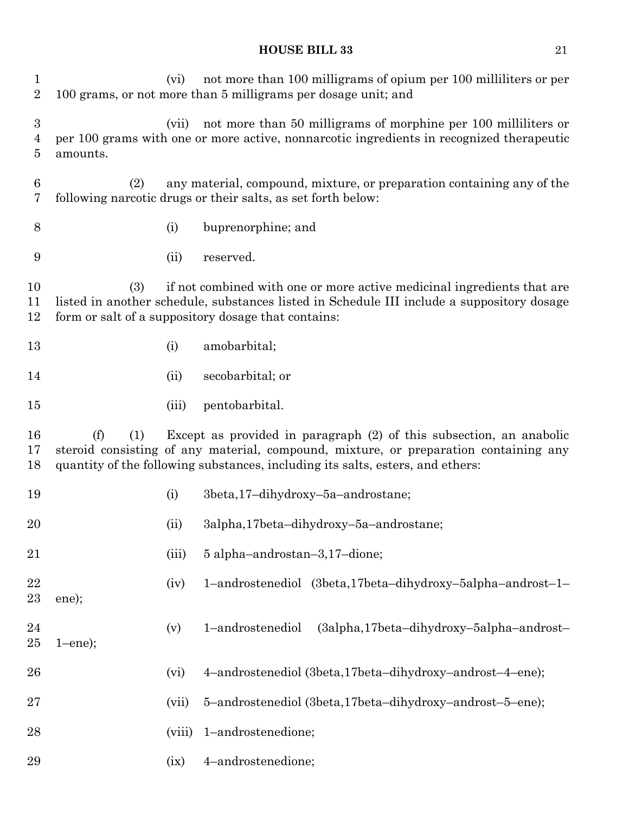| $\mathbf{1}$<br>$\overline{2}$ |               | (vi)   | not more than 100 milligrams of opium per 100 milliliters or per<br>100 grams, or not more than 5 milligrams per dosage unit; and                                                                                                             |
|--------------------------------|---------------|--------|-----------------------------------------------------------------------------------------------------------------------------------------------------------------------------------------------------------------------------------------------|
| $\boldsymbol{3}$<br>4<br>5     | amounts.      | (vii)  | not more than 50 milligrams of morphine per 100 millilitiers or<br>per 100 grams with one or more active, nonnarcotic ingredients in recognized therapeutic                                                                                   |
| 6<br>7                         | (2)           |        | any material, compound, mixture, or preparation containing any of the<br>following narcotic drugs or their salts, as set forth below:                                                                                                         |
| 8                              |               | (i)    | buprenorphine; and                                                                                                                                                                                                                            |
| 9                              |               | (ii)   | reserved.                                                                                                                                                                                                                                     |
| 10<br>11<br>12                 | (3)           |        | if not combined with one or more active medicinal ingredients that are<br>listed in another schedule, substances listed in Schedule III include a suppository dosage<br>form or salt of a suppository dosage that contains:                   |
| 13                             |               | (i)    | amobarbital;                                                                                                                                                                                                                                  |
| 14                             |               | (ii)   | secobarbital; or                                                                                                                                                                                                                              |
| 15                             |               | (iii)  | pentobarbital.                                                                                                                                                                                                                                |
| 16<br>17<br>18                 | (f)<br>(1)    |        | Except as provided in paragraph (2) of this subsection, an anabolic<br>steroid consisting of any material, compound, mixture, or preparation containing any<br>quantity of the following substances, including its salts, esters, and ethers: |
| 19                             |               | (i)    | 3beta, 17-dihydroxy-5a-androstane;                                                                                                                                                                                                            |
| 20                             |               | (ii)   | 3alpha,17beta-dihydroxy-5a-androstane;                                                                                                                                                                                                        |
| 21                             |               | (iii)  | 5 alpha-androstan-3,17-dione;                                                                                                                                                                                                                 |
| 22<br>23                       | ene);         | (iv)   | 1-androstenediol (3beta,17beta-dihydroxy-5alpha-androst-1-                                                                                                                                                                                    |
| 24<br>$25\,$                   | $1$ -ene $);$ | (v)    | 1-androstenediol<br>(3alpha,17beta-dihydroxy-5alpha-androst-                                                                                                                                                                                  |
| 26                             |               | (vi)   | 4-androstenediol (3beta,17beta-dihydroxy-androst-4-ene);                                                                                                                                                                                      |
| $27\,$                         |               | (vii)  | 5-androstenediol (3beta,17beta-dihydroxy-androst-5-ene);                                                                                                                                                                                      |
| 28                             |               | (viii) | 1-androstenedione;                                                                                                                                                                                                                            |
| 29                             |               | (ix)   | 4-androstenedione;                                                                                                                                                                                                                            |
|                                |               |        |                                                                                                                                                                                                                                               |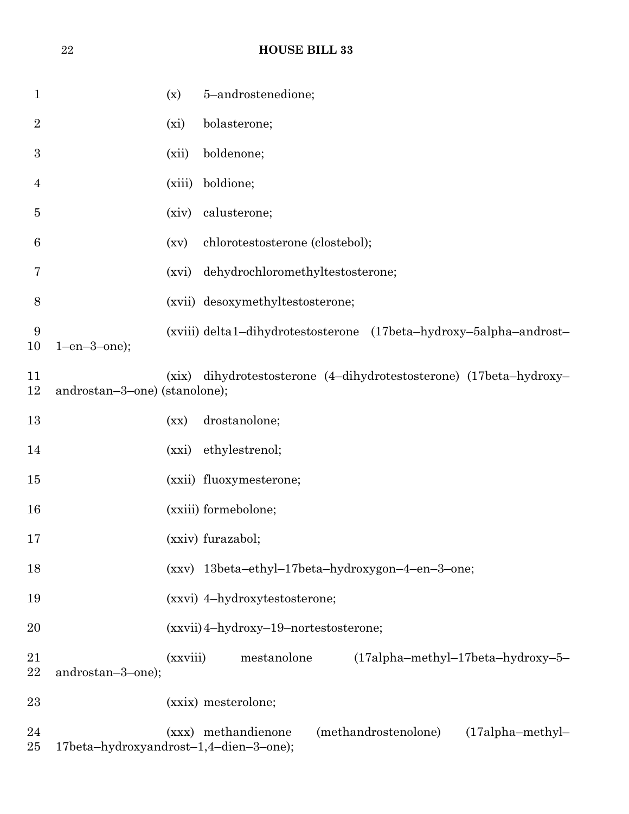| $\mathbf{1}$   |                                        | (x)      | 5-androstenedione;                                                 |
|----------------|----------------------------------------|----------|--------------------------------------------------------------------|
| $\overline{2}$ |                                        | (xi)     | bolasterone;                                                       |
| 3              |                                        | (xii)    | boldenone;                                                         |
| $\overline{4}$ |                                        | (xiii)   | boldione;                                                          |
| 5              |                                        | (xiv)    | calusterone;                                                       |
| 6              |                                        | (xv)     | chlorotestosterone (clostebol);                                    |
| 7              |                                        | (xvi)    | dehydrochloromethyltestosterone;                                   |
| 8              |                                        |          | (xvii) desoxymethyltestosterone;                                   |
| 9<br>10        | $1$ -en- $3$ -one);                    |          | (xviii) delta1-dihydrotestosterone (17beta-hydroxy-5alpha-androst- |
| 11<br>12       | androstan-3-one) (stanolone);          | (xix)    | dihydrotestosterone (4-dihydrotestosterone) (17beta-hydroxy-       |
| 13             |                                        | (xx)     | drostanolone;                                                      |
| 14             |                                        | (xxi)    | ethylestrenol;                                                     |
| 15             |                                        |          | (xxii) fluoxymesterone;                                            |
| 16             |                                        |          | (xxiii) formebolone;                                               |
| 17             |                                        |          | (xxiv) furazabol;                                                  |
| 18             |                                        |          | (xxv) 13beta-ethyl-17beta-hydroxygon-4-en-3-one;                   |
| 19             |                                        |          | (xxvi) 4-hydroxytestosterone;                                      |
| 20             |                                        |          | (xxvii) 4-hydroxy-19-nortestosterone;                              |
| 21<br>22       | androstan-3-one);                      | (xxviii) | mestanolone<br>$(17a]$ pha-methyl-17beta-hydroxy-5-                |
| 23             |                                        |          | (xxix) mesterolone;                                                |
| 24<br>$25\,$   | 17beta-hydroxyandrost-1,4-dien-3-one); |          | (methandrostenolone)<br>(xxx) methandienone<br>$(17a]pha-methyl-$  |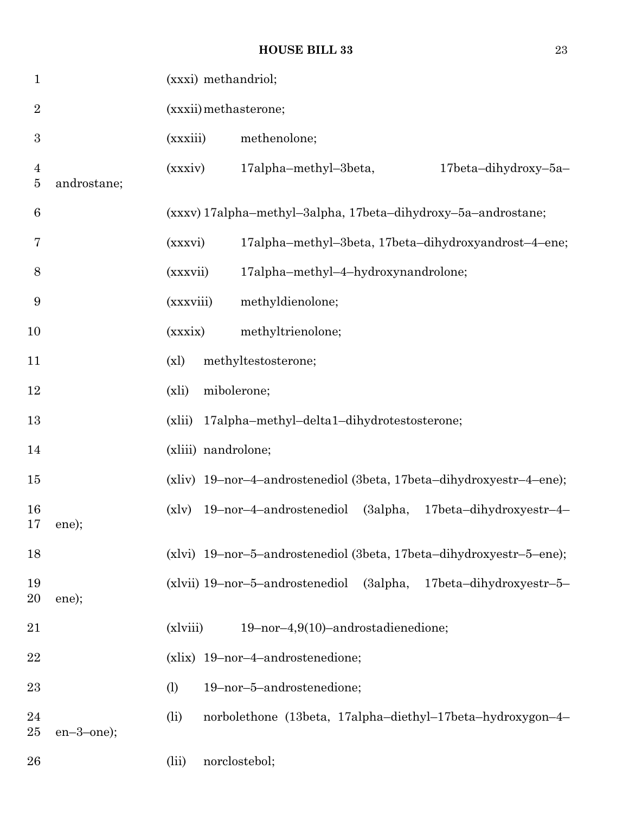| $\mathbf{1}$              |               |           | (xxxi) methandriol; |                                            |  |          |                                                                     |
|---------------------------|---------------|-----------|---------------------|--------------------------------------------|--|----------|---------------------------------------------------------------------|
| $\overline{2}$            |               |           |                     | (xxxii) methasterone;                      |  |          |                                                                     |
| $\boldsymbol{3}$          |               | (xxxiii)  |                     | methenolone;                               |  |          |                                                                     |
| $\overline{4}$<br>$\bf 5$ | androstane;   | (xxxiv)   |                     | 17alpha-methyl-3beta,                      |  |          | 17beta-dihydroxy-5a-                                                |
| 6                         |               |           |                     |                                            |  |          | (xxxv) 17alpha-methyl-3alpha, 17beta-dihydroxy-5a-androstane;       |
| 7                         |               | (xxxvi)   |                     |                                            |  |          | 17alpha-methyl-3beta, 17beta-dihydroxyandrost-4-ene;                |
| 8                         |               | (xxxvii)  |                     | 17alpha-methyl-4-hydroxynandrolone;        |  |          |                                                                     |
| 9                         |               | (xxxviii) |                     | methyldienolone;                           |  |          |                                                                     |
| 10                        |               | (xxxix)   |                     | methyltrienolone;                          |  |          |                                                                     |
| 11                        |               | (x)       |                     | methyltestosterone;                        |  |          |                                                                     |
| 12                        |               | (xli)     |                     | mibolerone;                                |  |          |                                                                     |
| 13                        |               | (xli)     |                     | 17alpha-methyl-delta1-dihydrotestosterone; |  |          |                                                                     |
| 14                        |               |           |                     | (xliii) nandrolone;                        |  |          |                                                                     |
| $15\,$                    |               |           |                     |                                            |  |          | (xliv) 19-nor-4-androstenediol (3beta, 17beta-dihydroxyestr-4-ene); |
| 16<br>17                  | ene);         | (x v)     |                     | 19-nor-4-androstenediol                    |  | (3alpha, | $17beta-dihydroxyestr-4-$                                           |
| 18                        |               |           |                     |                                            |  |          | (xlvi) 19-nor-5-androstenediol (3beta, 17beta-dihydroxyestr-5-ene); |
| 19<br>20                  | ene);         |           |                     | $(xlvii)$ 19-nor-5-androstenediol          |  | (3alpha, | $17beta-dihydroxyestr-5-$                                           |
| 21                        |               | (xlviii)  |                     | 19-nor-4,9(10)-androstadienedione;         |  |          |                                                                     |
| 22                        |               |           |                     | (xlix) 19-nor-4-androstenedione;           |  |          |                                                                     |
| 23                        |               | (1)       |                     | 19-nor-5-androstenedione;                  |  |          |                                                                     |
| 24<br>$25\,$              | $en-3$ -one); | (i)       |                     |                                            |  |          | norbolethone (13beta, 17alpha-diethyl-17beta-hydroxygon-4-          |
| 26                        |               | (iii)     |                     | norclostebol;                              |  |          |                                                                     |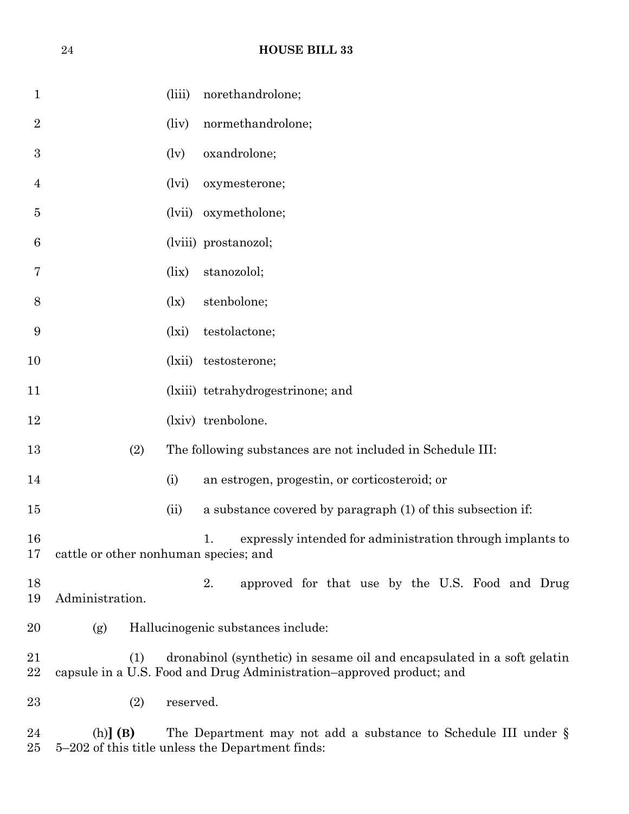| 1                |                                       | (iii)                      | norethandrolone;                                                                                                                                |
|------------------|---------------------------------------|----------------------------|-------------------------------------------------------------------------------------------------------------------------------------------------|
| $\overline{2}$   |                                       | (iiv)                      | normethandrolone;                                                                                                                               |
| $\boldsymbol{3}$ |                                       | $\left(\mathrm{lv}\right)$ | oxandrolone;                                                                                                                                    |
| 4                |                                       | (lvi)                      | oxymesterone;                                                                                                                                   |
| 5                |                                       | (lvii)                     | oxymetholone;                                                                                                                                   |
| 6                |                                       |                            | (lviii) prostanozol;                                                                                                                            |
| 7                |                                       | (iix)                      | stanozolol;                                                                                                                                     |
| 8                |                                       | $\left(\frac{1}{x}\right)$ | stenbolone;                                                                                                                                     |
| 9                |                                       | (lxi)                      | testolactone;                                                                                                                                   |
| 10               |                                       | (lxii)                     | testosterone;                                                                                                                                   |
| 11               |                                       |                            | (lxiii) tetrahydrogestrinone; and                                                                                                               |
| 12               |                                       |                            | (lxiv) trenbolone.                                                                                                                              |
| 13               | (2)                                   |                            | The following substances are not included in Schedule III:                                                                                      |
| 14               |                                       | (i)                        | an estrogen, progestin, or corticosteroid; or                                                                                                   |
| 15               |                                       | (ii)                       | a substance covered by paragraph (1) of this subsection if:                                                                                     |
| 16<br>17         | cattle or other nonhuman species; and |                            | expressly intended for administration through implants to<br>1.                                                                                 |
| 18<br>19         | Administration.                       |                            | 2.<br>approved for that use by the U.S. Food and Drug                                                                                           |
| 20               | (g)                                   |                            | Hallucinogenic substances include:                                                                                                              |
| 21<br>22         | (1)                                   |                            | dronabinol (synthetic) in sesame oil and encapsulated in a soft gelatin<br>capsule in a U.S. Food and Drug Administration-approved product; and |
| 23               | (2)                                   | reserved.                  |                                                                                                                                                 |
| 24<br>25         | $(h)$ (B)                             |                            | The Department may not add a substance to Schedule III under $\S$<br>5–202 of this title unless the Department finds:                           |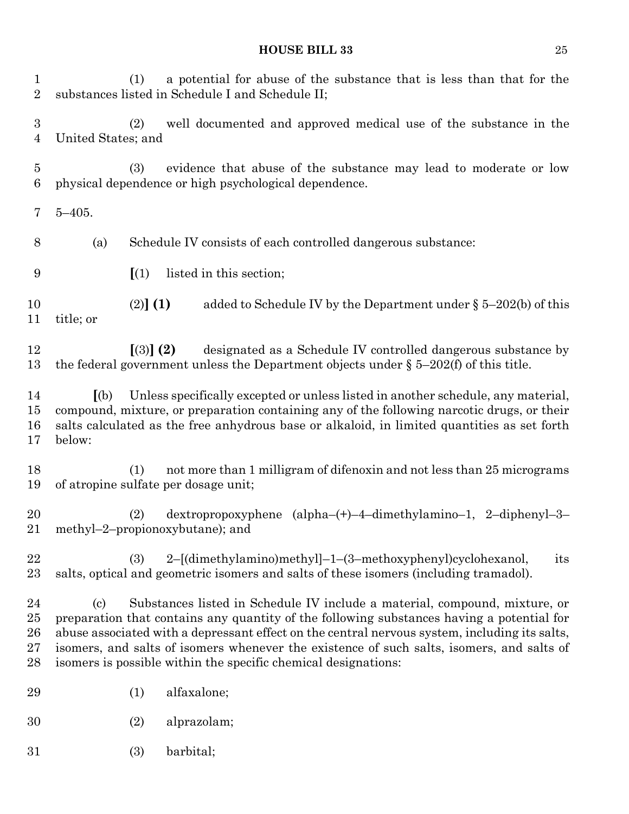| $\mathbf 1$<br>$\overline{2}$              | a potential for abuse of the substance that is less than that for the<br>(1)<br>substances listed in Schedule I and Schedule II;                                                                                                                                                                                                                                                                                                               |
|--------------------------------------------|------------------------------------------------------------------------------------------------------------------------------------------------------------------------------------------------------------------------------------------------------------------------------------------------------------------------------------------------------------------------------------------------------------------------------------------------|
| $\boldsymbol{3}$<br>4                      | well documented and approved medical use of the substance in the<br>(2)<br>United States; and                                                                                                                                                                                                                                                                                                                                                  |
| 5<br>$6\phantom{.}6$                       | evidence that abuse of the substance may lead to moderate or low<br>(3)<br>physical dependence or high psychological dependence.                                                                                                                                                                                                                                                                                                               |
| 7                                          | $5 - 405$ .                                                                                                                                                                                                                                                                                                                                                                                                                                    |
| 8                                          | Schedule IV consists of each controlled dangerous substance:<br>(a)                                                                                                                                                                                                                                                                                                                                                                            |
| 9                                          | (1)<br>listed in this section;                                                                                                                                                                                                                                                                                                                                                                                                                 |
| 10<br>11                                   | (2)] (1)<br>added to Schedule IV by the Department under $\S$ 5–202(b) of this<br>title; or                                                                                                                                                                                                                                                                                                                                                    |
| 12<br>13                                   | $(3)$ (2)<br>designated as a Schedule IV controlled dangerous substance by<br>the federal government unless the Department objects under $\S$ 5-202(f) of this title.                                                                                                                                                                                                                                                                          |
| 14<br>15<br>16<br>17                       | Unless specifically excepted or unless listed in another schedule, any material,<br>(a)<br>compound, mixture, or preparation containing any of the following narcotic drugs, or their<br>salts calculated as the free anhydrous base or alkaloid, in limited quantities as set forth<br>below:                                                                                                                                                 |
| 18<br>19                                   | not more than 1 milligram of difenoxin and not less than 25 micrograms<br>(1)<br>of atropine sulfate per dosage unit;                                                                                                                                                                                                                                                                                                                          |
| 20<br>$21\,$                               | dextropropoxyphene (alpha-(+)-4-dimethylamino-1, 2-diphenyl-3-<br>(2)<br>methyl-2-propionoxybutane); and                                                                                                                                                                                                                                                                                                                                       |
| 22<br>23                                   | 2-[(dimethylamino)methyl]-1-(3-methoxyphenyl)cyclohexanol,<br>(3)<br>its<br>salts, optical and geometric isomers and salts of these isomers (including tramadol).                                                                                                                                                                                                                                                                              |
| $\bf{24}$<br>25<br>26<br>$\sqrt{27}$<br>28 | Substances listed in Schedule IV include a material, compound, mixture, or<br>(c)<br>preparation that contains any quantity of the following substances having a potential for<br>abuse associated with a depressant effect on the central nervous system, including its salts,<br>isomers, and salts of isomers whenever the existence of such salts, isomers, and salts of<br>isomers is possible within the specific chemical designations: |
| 29                                         | alfaxalone;<br>(1)                                                                                                                                                                                                                                                                                                                                                                                                                             |
| 30                                         | alprazolam;<br>(2)                                                                                                                                                                                                                                                                                                                                                                                                                             |
| 31                                         | barbital;<br>(3)                                                                                                                                                                                                                                                                                                                                                                                                                               |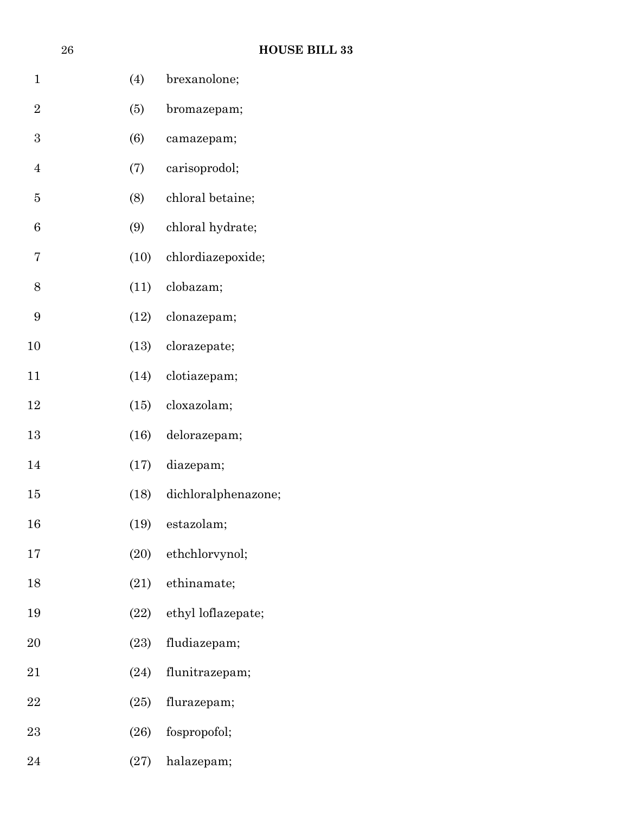|                | 26 |      | <b>HOUSE BILL 33</b>    |
|----------------|----|------|-------------------------|
| $\mathbf{1}$   |    | (4)  | brexanolone;            |
| $\overline{2}$ |    | (5)  | bromazepam;             |
| 3              |    | (6)  | camazepam;              |
| $\overline{4}$ |    | (7)  | carisoprodol;           |
| $\overline{5}$ |    | (8)  | chloral betaine;        |
| 6              |    | (9)  | chloral hydrate;        |
| 7              |    | (10) | chlordiazepoxide;       |
| 8              |    | (11) | clobazam;               |
| 9              |    | (12) | clonazepam;             |
| 10             |    | (13) | clorazepate;            |
| 11             |    | (14) | clotiazepam;            |
| 12             |    | (15) | cloxazolam;             |
| 13             |    | (16) | delorazepam;            |
| 14             |    | (17) | diazepam;               |
| 15             |    | (18) | dichloralphenazone;     |
| 16             |    |      | (19) estazolam;         |
| 17             |    |      | (20) ethchlorvynol;     |
| 18             |    |      | $(21)$ ethinamate;      |
| 19             |    |      | (22) ethyl loflazepate; |
| 20             |    | (23) | fludiazepam;            |
| 21             |    | (24) | flunitrazepam;          |
| 22             |    | (25) | flurazepam;             |
| 23             |    | (26) | fospropofol;            |
| 24             |    | (27) | halazepam;              |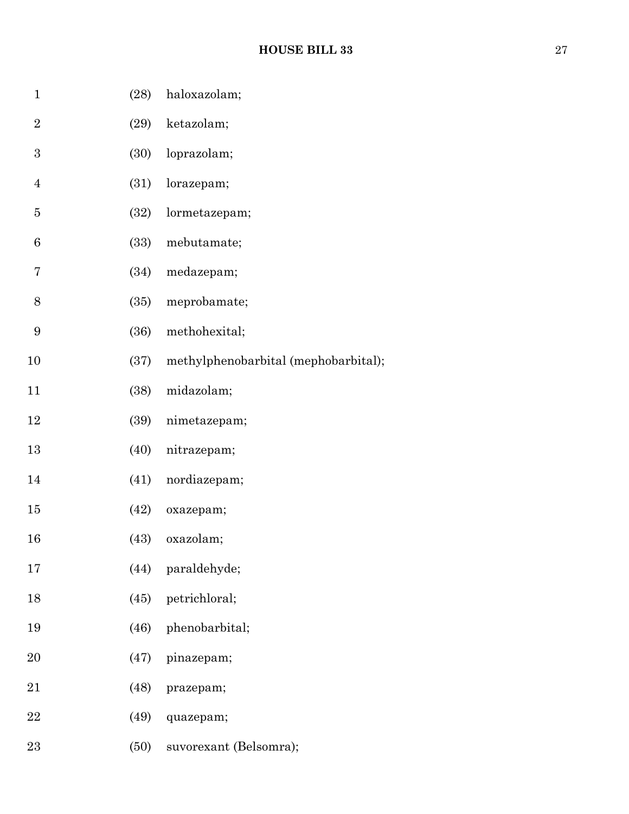| $\mathbf 1$      | (28) | haloxazolam;                         |
|------------------|------|--------------------------------------|
| $\overline{2}$   | (29) | ketazolam;                           |
| $\boldsymbol{3}$ | (30) | loprazolam;                          |
| $\overline{4}$   | (31) | lorazepam;                           |
| $\bf 5$          | (32) | lormetazepam;                        |
| 6                | (33) | mebutamate;                          |
| 7                | (34) | medazepam;                           |
| 8                | (35) | meprobamate;                         |
| $\boldsymbol{9}$ | (36) | methohexital;                        |
| 10               | (37) | methylphenobarbital (mephobarbital); |
| 11               | (38) | midazolam;                           |
| 12               | (39) | nimetazepam;                         |
| 13               | (40) | nitrazepam;                          |
| 14               | (41) | nordiazepam;                         |
| 15               | (42) | oxazepam;                            |
| 16               | (43) | oxazolam;                            |
| 17               | (44) | paraldehyde;                         |
| 18               | (45) | petrichloral;                        |
| 19               | (46) | phenobarbital;                       |
| 20               | (47) | pinazepam;                           |
| 21               | (48) | prazepam;                            |
| 22               | (49) | quazepam;                            |
| 23               | (50) | suvorexant (Belsomra);               |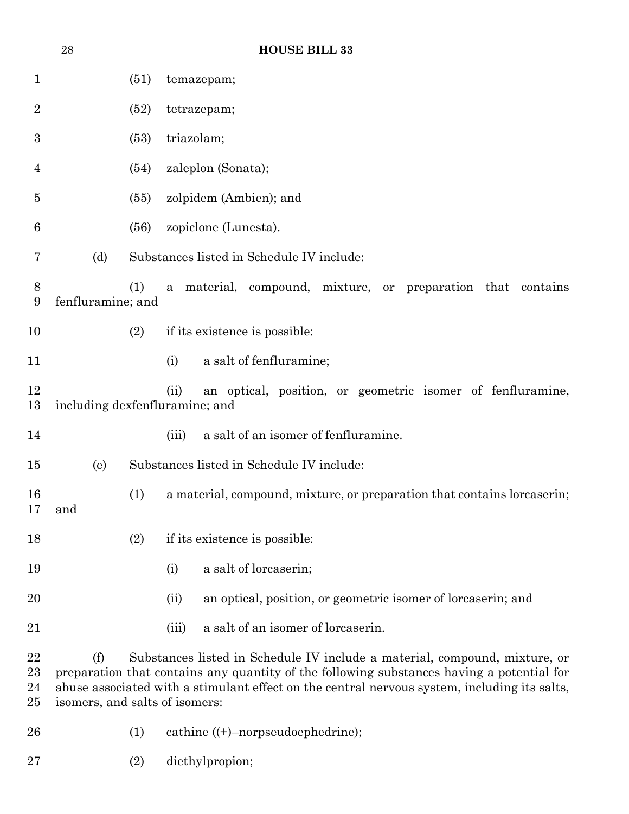|                      | 28                                    |      | <b>HOUSE BILL 33</b>                                                                                                                                                                                                                                                    |  |  |  |  |  |
|----------------------|---------------------------------------|------|-------------------------------------------------------------------------------------------------------------------------------------------------------------------------------------------------------------------------------------------------------------------------|--|--|--|--|--|
| $\mathbf 1$          |                                       | (51) | temazepam;                                                                                                                                                                                                                                                              |  |  |  |  |  |
| $\overline{2}$       |                                       | (52) | tetrazepam;                                                                                                                                                                                                                                                             |  |  |  |  |  |
| 3                    |                                       | (53) | triazolam;                                                                                                                                                                                                                                                              |  |  |  |  |  |
| $\overline{4}$       |                                       | (54) | zaleplon (Sonata);                                                                                                                                                                                                                                                      |  |  |  |  |  |
| 5                    |                                       | (55) | zolpidem (Ambien); and                                                                                                                                                                                                                                                  |  |  |  |  |  |
| 6                    |                                       | (56) | zopiclone (Lunesta).                                                                                                                                                                                                                                                    |  |  |  |  |  |
| 7                    | (d)                                   |      | Substances listed in Schedule IV include:                                                                                                                                                                                                                               |  |  |  |  |  |
| 8<br>9               | fenfluramine; and                     | (1)  | material, compound, mixture, or preparation that contains<br>a                                                                                                                                                                                                          |  |  |  |  |  |
| 10                   |                                       | (2)  | if its existence is possible:                                                                                                                                                                                                                                           |  |  |  |  |  |
| 11                   |                                       |      | a salt of fenfluramine;<br>(i)                                                                                                                                                                                                                                          |  |  |  |  |  |
| 12<br>13             |                                       |      | an optical, position, or geometric isomer of fenfluramine,<br>(ii)<br>including dexfenfluramine; and                                                                                                                                                                    |  |  |  |  |  |
| 14                   |                                       |      | a salt of an isomer of fenfluramine.<br>(iii)                                                                                                                                                                                                                           |  |  |  |  |  |
| 15                   | (e)                                   |      | Substances listed in Schedule IV include:                                                                                                                                                                                                                               |  |  |  |  |  |
| 16<br>17             | and                                   | (1)  | a material, compound, mixture, or preparation that contains loreaserin;                                                                                                                                                                                                 |  |  |  |  |  |
| 18                   |                                       | (2)  | if its existence is possible:                                                                                                                                                                                                                                           |  |  |  |  |  |
| 19                   |                                       |      | a salt of lorcaserin;<br>(i)                                                                                                                                                                                                                                            |  |  |  |  |  |
| 20                   |                                       |      | an optical, position, or geometric isomer of loreaserin; and<br>(ii)                                                                                                                                                                                                    |  |  |  |  |  |
| 21                   |                                       |      | a salt of an isomer of lorcaserin.<br>(iii)                                                                                                                                                                                                                             |  |  |  |  |  |
| 22<br>23<br>24<br>25 | (f)<br>isomers, and salts of isomers: |      | Substances listed in Schedule IV include a material, compound, mixture, or<br>preparation that contains any quantity of the following substances having a potential for<br>abuse associated with a stimulant effect on the central nervous system, including its salts, |  |  |  |  |  |
| 26                   |                                       | (1)  | cathine $((+)$ -norpseudoephedrine);                                                                                                                                                                                                                                    |  |  |  |  |  |

(2) diethylpropion;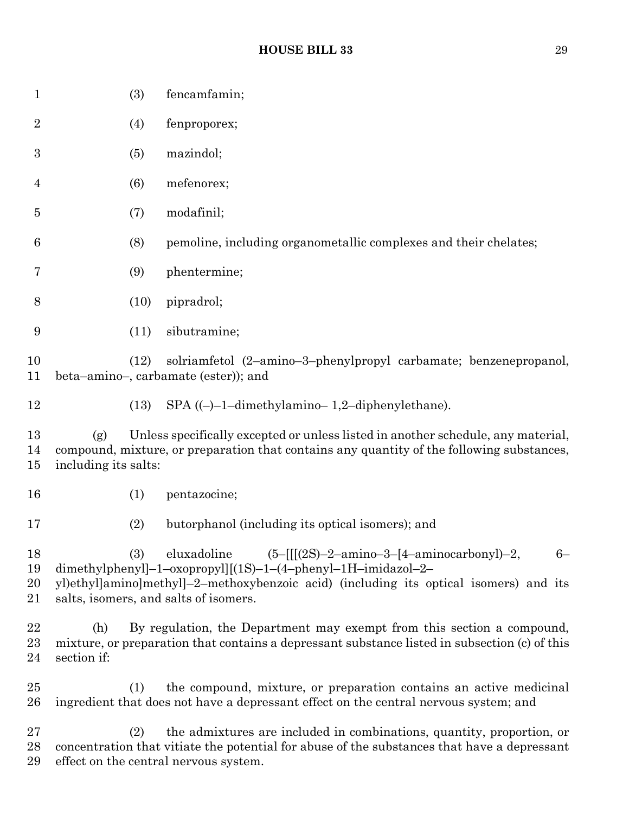| $\mathbf{1}$         | (3)                                                                                                                                                                                                                                                                        | fencamfamin;                                                                                                                                                                                                  |
|----------------------|----------------------------------------------------------------------------------------------------------------------------------------------------------------------------------------------------------------------------------------------------------------------------|---------------------------------------------------------------------------------------------------------------------------------------------------------------------------------------------------------------|
| $\overline{2}$       | (4)                                                                                                                                                                                                                                                                        | fenproporex;                                                                                                                                                                                                  |
| $\boldsymbol{3}$     | (5)                                                                                                                                                                                                                                                                        | mazindol;                                                                                                                                                                                                     |
| 4                    | (6)                                                                                                                                                                                                                                                                        | mefenorex;                                                                                                                                                                                                    |
| 5                    | (7)                                                                                                                                                                                                                                                                        | modafinil;                                                                                                                                                                                                    |
| 6                    | (8)                                                                                                                                                                                                                                                                        | pemoline, including organometallic complexes and their chelates;                                                                                                                                              |
| 7                    | (9)                                                                                                                                                                                                                                                                        | phentermine;                                                                                                                                                                                                  |
| 8                    | (10)                                                                                                                                                                                                                                                                       | pipradrol;                                                                                                                                                                                                    |
| 9                    | (11)                                                                                                                                                                                                                                                                       | sibutramine;                                                                                                                                                                                                  |
| 10<br>11             | solriamfetol (2-amino-3-phenylpropyl carbamate; benzenepropanol,<br>(12)<br>beta-amino-, carbamate (ester)); and                                                                                                                                                           |                                                                                                                                                                                                               |
| 12                   | (13)                                                                                                                                                                                                                                                                       | $SPA$ ((-)-1-dimethylamino-1,2-diphenylethane).                                                                                                                                                               |
| 13<br>14<br>15       | Unless specifically excepted or unless listed in another schedule, any material,<br>(g)<br>compound, mixture, or preparation that contains any quantity of the following substances,<br>including its salts:                                                               |                                                                                                                                                                                                               |
| 16                   | (1)                                                                                                                                                                                                                                                                        | pentazocine;                                                                                                                                                                                                  |
| 17                   | (2)                                                                                                                                                                                                                                                                        | butorphanol (including its optical isomers); and                                                                                                                                                              |
| 18<br>19<br>20<br>21 | eluxadoline<br>$(5-[[[(2S)-2-amin-3-[4-aminocarbony])-2,$<br>(3)<br>$6-$<br>dimethylphenyl]-1-oxopropyl][(1S)-1-(4-phenyl-1H-imidazol-2-<br>yl)ethyl]amino]methyl]-2-methoxybenzoic acid) (including its optical isomers) and its<br>salts, isomers, and salts of isomers. |                                                                                                                                                                                                               |
| 22<br>23<br>24       | (h)<br>section if:                                                                                                                                                                                                                                                         | By regulation, the Department may exempt from this section a compound,<br>mixture, or preparation that contains a depressant substance listed in subsection (c) of this                                       |
| $25\,$<br>26         | (1)                                                                                                                                                                                                                                                                        | the compound, mixture, or preparation contains an active medicinal<br>ingredient that does not have a depressant effect on the central nervous system; and                                                    |
| $27\,$<br>28<br>29   | (2)                                                                                                                                                                                                                                                                        | the admixtures are included in combinations, quantity, proportion, or<br>concentration that vitiate the potential for abuse of the substances that have a depressant<br>effect on the central nervous system. |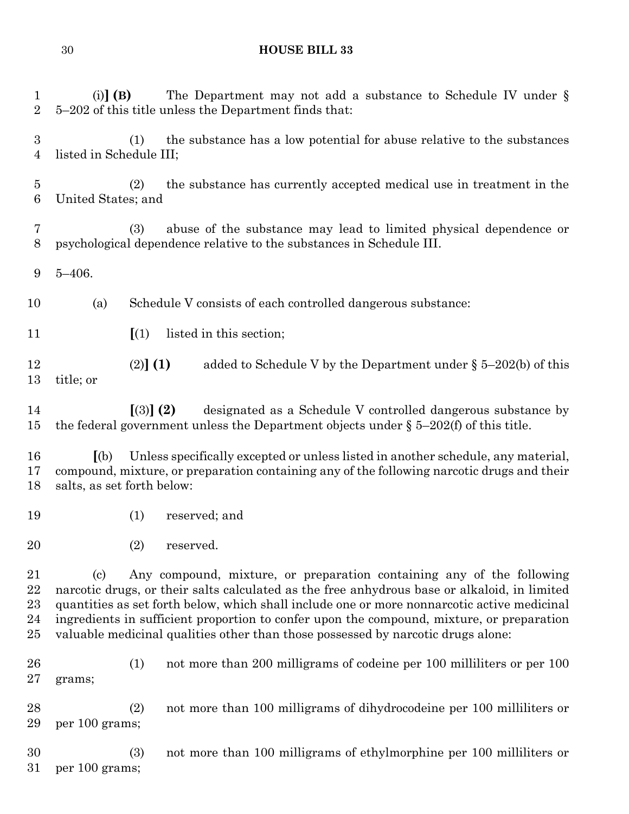(i)**] (B)** The Department may not add a substance to Schedule IV under § 5–202 of this title unless the Department finds that: (1) the substance has a low potential for abuse relative to the substances listed in Schedule III; (2) the substance has currently accepted medical use in treatment in the United States; and (3) abuse of the substance may lead to limited physical dependence or psychological dependence relative to the substances in Schedule III. 5–406. (a) Schedule V consists of each controlled dangerous substance: **[**(1) listed in this section; (2)**] (1)** added to Schedule V by the Department under § 5–202(b) of this title; or **[**(3)**] (2)** designated as a Schedule V controlled dangerous substance by the federal government unless the Department objects under § 5–202(f) of this title. **[**(b) Unless specifically excepted or unless listed in another schedule, any material, compound, mixture, or preparation containing any of the following narcotic drugs and their salts, as set forth below: (1) reserved; and (2) reserved. (c) Any compound, mixture, or preparation containing any of the following narcotic drugs, or their salts calculated as the free anhydrous base or alkaloid, in limited quantities as set forth below, which shall include one or more nonnarcotic active medicinal ingredients in sufficient proportion to confer upon the compound, mixture, or preparation valuable medicinal qualities other than those possessed by narcotic drugs alone: (1) not more than 200 milligrams of codeine per 100 milliliters or per 100 grams; (2) not more than 100 milligrams of dihydrocodeine per 100 milliliters or per 100 grams; (3) not more than 100 milligrams of ethylmorphine per 100 milliliters or per 100 grams;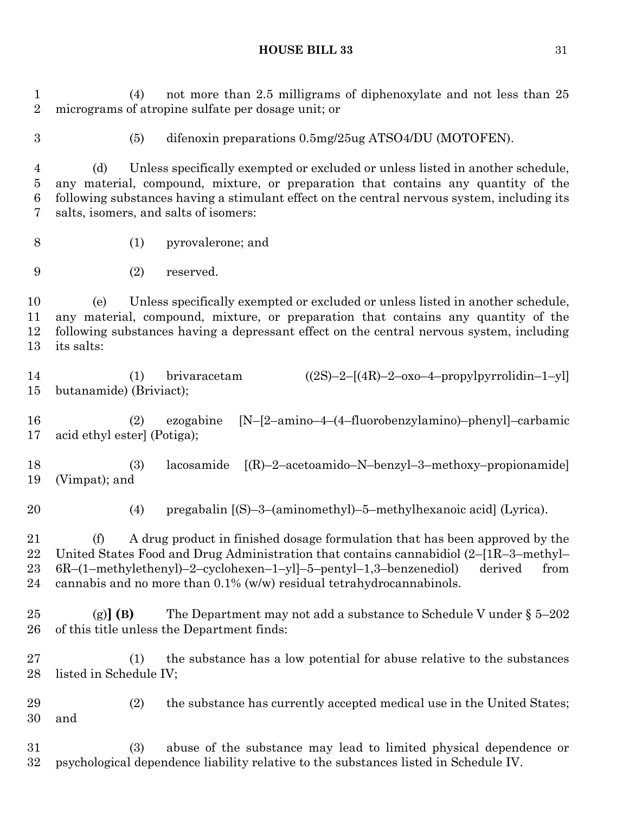(4) not more than 2.5 milligrams of diphenoxylate and not less than 25 micrograms of atropine sulfate per dosage unit; or (5) difenoxin preparations 0.5mg/25ug ATSO4/DU (MOTOFEN).

 (d) Unless specifically exempted or excluded or unless listed in another schedule, any material, compound, mixture, or preparation that contains any quantity of the following substances having a stimulant effect on the central nervous system, including its salts, isomers, and salts of isomers:

- (1) pyrovalerone; and
- (2) reserved.

 (e) Unless specifically exempted or excluded or unless listed in another schedule, any material, compound, mixture, or preparation that contains any quantity of the following substances having a depressant effect on the central nervous system, including its salts:

 (1) brivaracetam ((2S)–2–[(4R)–2–oxo–4–propylpyrrolidin–1–yl] butanamide) (Briviact);

 (2) ezogabine [N–[2–amino–4–(4–fluorobenzylamino)–phenyl]–carbamic acid ethyl ester] (Potiga);

 (3) lacosamide [(R)–2–acetoamido–N–benzyl–3–methoxy–propionamide] (Vimpat); and

(4) pregabalin [(S)–3–(aminomethyl)–5–methylhexanoic acid] (Lyrica).

 (f) A drug product in finished dosage formulation that has been approved by the United States Food and Drug Administration that contains cannabidiol (2–[1R–3–methyl– 6R–(1–methylethenyl)–2–cyclohexen–1–yl]–5–pentyl–1,3–benzenediol) derived from 24 cannabis and no more than  $0.1\%$  (w/w) residual tetrahydrocannabinols.

 (g)**] (B)** The Department may not add a substance to Schedule V under § 5–202 of this title unless the Department finds:

 (1) the substance has a low potential for abuse relative to the substances listed in Schedule IV;

 (2) the substance has currently accepted medical use in the United States; and

 (3) abuse of the substance may lead to limited physical dependence or psychological dependence liability relative to the substances listed in Schedule IV.